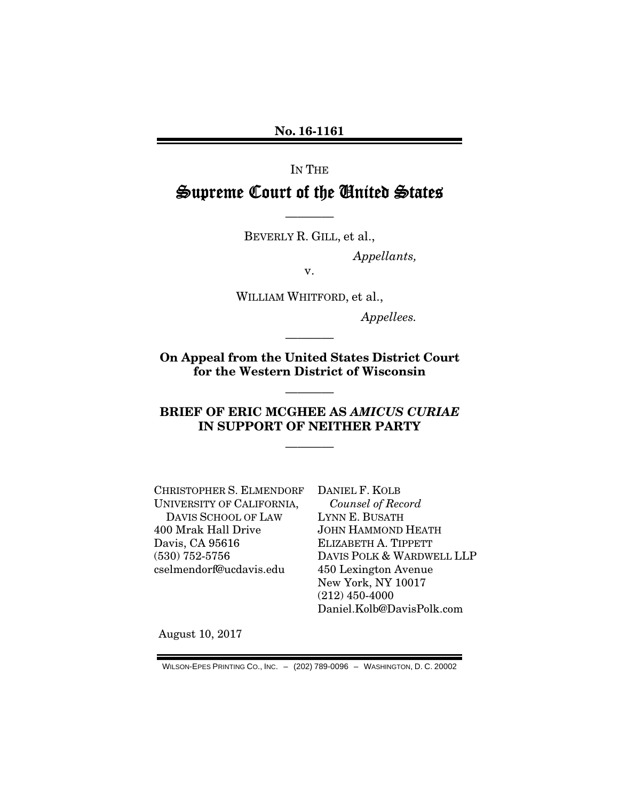No. 16-1161

#### IN THE

# Supreme Court of the United States

BEVERLY R. GILL, et al.,

————

*Appellants,* 

v.

WILLIAM WHITFORD, et al.,

*Appellees.* 

On Appeal from the United States District Court for the Western District of Wisconsin

————

————

## BRIEF OF ERIC MCGHEE AS *AMICUS CURIAE*  IN SUPPORT OF NEITHER PARTY

————

CHRISTOPHER S. ELMENDORF UNIVERSITY OF CALIFORNIA, DAVIS SCHOOL OF LAW 400 Mrak Hall Drive Davis, CA 95616 (530) 752-5756 cselmendorf@ucdavis.edu

DANIEL F. KOLB *Counsel of Record* LYNN E. BUSATH JOHN HAMMOND HEATH ELIZABETH A. TIPPETT DAVIS POLK & WARDWELL LLP 450 Lexington Avenue New York, NY 10017 (212) 450-4000 Daniel.Kolb@DavisPolk.com

August 10, 2017

WILSON-EPES PRINTING CO., INC. – (202) 789-0096 – WASHINGTON, D. C. 20002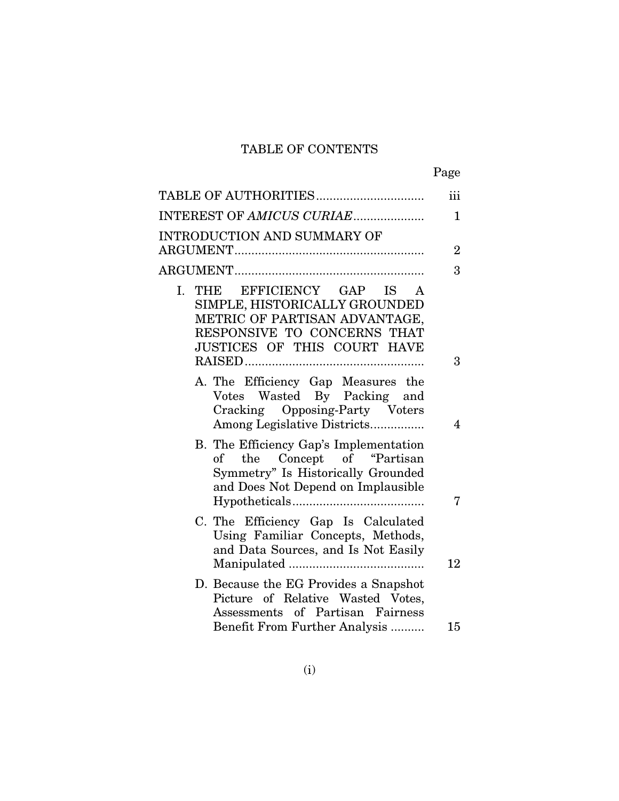# TABLE OF CONTENTS

|                                                                                                                                                            | Page                    |
|------------------------------------------------------------------------------------------------------------------------------------------------------------|-------------------------|
| TABLE OF AUTHORITIES                                                                                                                                       | iii                     |
| INTEREST OF AMICUS CURIAE                                                                                                                                  | $\mathbf{1}$            |
| INTRODUCTION AND SUMMARY OF                                                                                                                                |                         |
|                                                                                                                                                            | $\overline{2}$          |
|                                                                                                                                                            | 3                       |
| I. THE EFFICIENCY GAP IS A<br>SIMPLE, HISTORICALLY GROUNDED<br>METRIC OF PARTISAN ADVANTAGE,<br>RESPONSIVE TO CONCERNS THAT<br>JUSTICES OF THIS COURT HAVE |                         |
|                                                                                                                                                            | 3                       |
| A. The Efficiency Gap Measures the<br>Votes Wasted By Packing and<br>Cracking Opposing-Party Voters<br>Among Legislative Districts                         | $\overline{\mathbf{4}}$ |
| B. The Efficiency Gap's Implementation<br>of the<br>Concept of "Partisan<br>Symmetry" Is Historically Grounded<br>and Does Not Depend on Implausible       | 7                       |
| C. The Efficiency Gap Is Calculated<br>Using Familiar Concepts, Methods,<br>and Data Sources, and Is Not Easily                                            | 12                      |
| D. Because the EG Provides a Snapshot<br>Picture of Relative Wasted Votes,<br>Assessments of Partisan Fairness<br>Benefit From Further Analysis            | 15                      |
|                                                                                                                                                            |                         |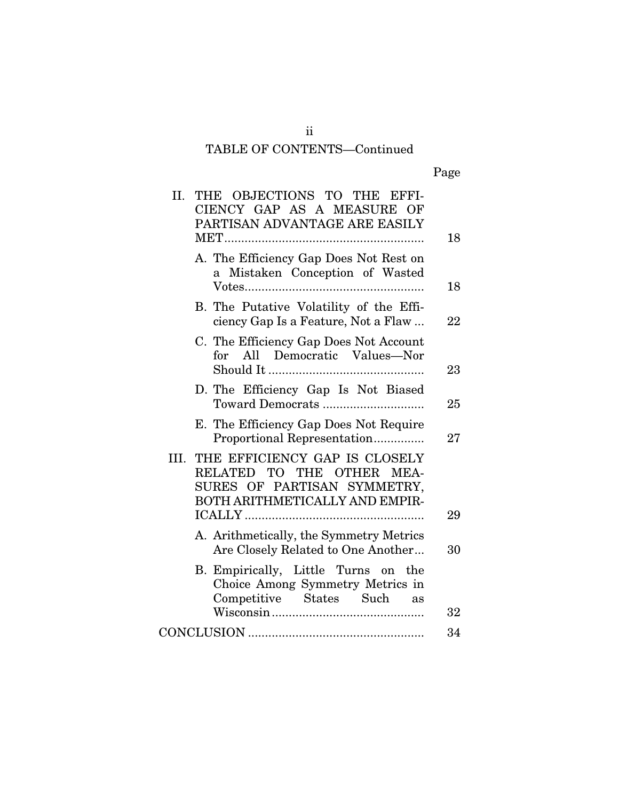## ii TABLE OF CONTENTS—Continued

| II.  | THE OBJECTIONS TO THE EFFI-<br>CIENCY GAP AS A MEASURE OF<br>PARTISAN ADVANTAGE ARE EASILY                                     | 18 |
|------|--------------------------------------------------------------------------------------------------------------------------------|----|
|      | A. The Efficiency Gap Does Not Rest on<br>Mistaken Conception of Wasted<br>$\mathbf{a}$                                        | 18 |
|      | B. The Putative Volatility of the Effi-<br>ciency Gap Is a Feature, Not a Flaw                                                 | 22 |
|      | C. The Efficiency Gap Does Not Account<br>for All Democratic Values-Nor                                                        |    |
|      | D. The Efficiency Gap Is Not Biased                                                                                            | 23 |
|      | Toward Democrats                                                                                                               | 25 |
|      | E. The Efficiency Gap Does Not Require<br>Proportional Representation                                                          | 27 |
| III. | THE EFFICIENCY GAP IS CLOSELY<br>RELATED TO THE OTHER<br>MEA-<br>SURES OF PARTISAN SYMMETRY,<br>BOTH ARITHMETICALLY AND EMPIR- |    |
|      |                                                                                                                                | 29 |
|      | A. Arithmetically, the Symmetry Metrics<br>Are Closely Related to One Another                                                  | 30 |
|      | B. Empirically, Little Turns on the<br>Choice Among Symmetry Metrics in<br>Competitive States Such<br>as                       |    |
|      |                                                                                                                                | 32 |
|      |                                                                                                                                | 34 |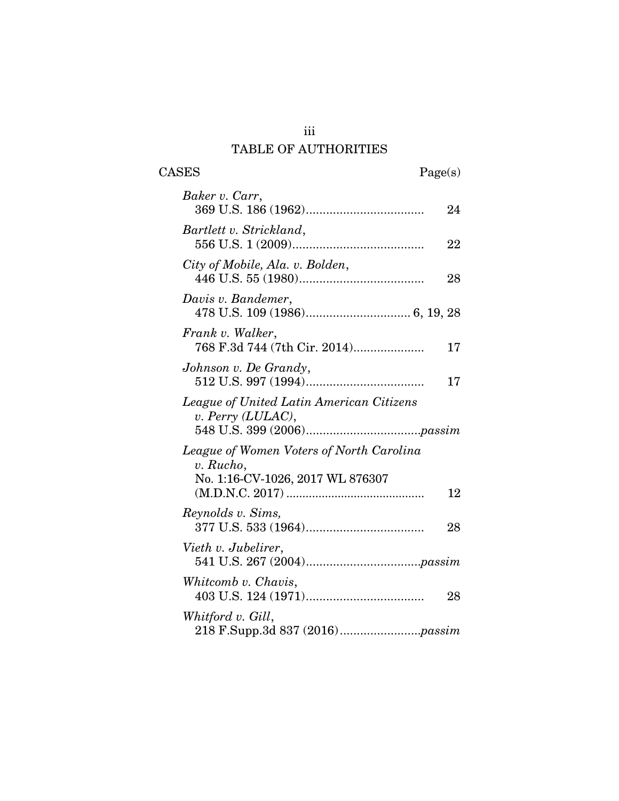## iii TABLE OF AUTHORITIES

 $\begin{tabular}{cc} \textbf{CASES} & \textbf{Page(s)}\\ \end{tabular}$ 

| Baker v. Carr,                                                   |    |
|------------------------------------------------------------------|----|
|                                                                  | 24 |
| Bartlett v. Strickland,                                          | 22 |
| City of Mobile, Ala. v. Bolden,                                  | 28 |
| Davis v. Bandemer,                                               |    |
| Frank v. Walker,<br>768 F.3d 744 (7th Cir. 2014)                 | 17 |
| Johnson v. De Grandy,                                            | 17 |
| League of United Latin American Citizens<br>v. Perry $(LULAC)$ , |    |
| League of Women Voters of North Carolina<br>v. Rucho,            |    |
| No. 1:16-CV-1026, 2017 WL 876307                                 | 12 |
| Reynolds v. Sims,                                                | 28 |
| Vieth v. Jubelirer,                                              |    |
| Whitcomb v. Chavis,                                              | 28 |
| Whitford v. Gill,                                                |    |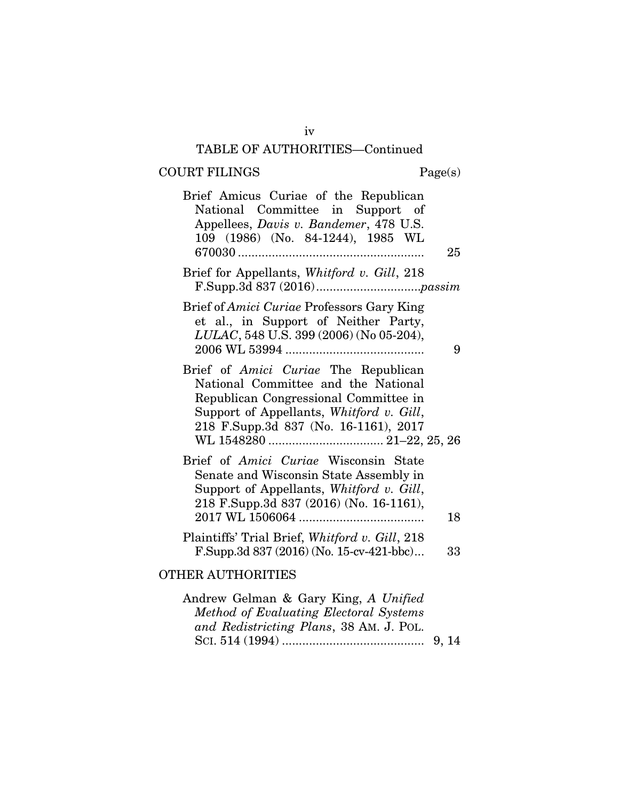# $\begin{aligned} \text{COURT FILINGS} \qquad \qquad & \text{Page(s)}\\ \end{aligned}$

| 25 | Brief Amicus Curiae of the Republican<br>National Committee in Support of<br>Appellees, Davis v. Bandemer, 478 U.S.<br>109 (1986) (No. 84-1244), 1985 WL                                                         |
|----|------------------------------------------------------------------------------------------------------------------------------------------------------------------------------------------------------------------|
|    | Brief for Appellants, Whitford v. Gill, 218                                                                                                                                                                      |
| 9  | Brief of Amici Curiae Professors Gary King<br>et al., in Support of Neither Party,<br>LULAC, 548 U.S. 399 (2006) (No 05-204),                                                                                    |
|    | Brief of <i>Amici Curiae</i> The Republican<br>National Committee and the National<br>Republican Congressional Committee in<br>Support of Appellants, Whitford v. Gill,<br>218 F.Supp.3d 837 (No. 16-1161), 2017 |
| 18 | Brief of Amici Curiae Wisconsin State<br>Senate and Wisconsin State Assembly in<br>Support of Appellants, Whitford v. Gill,<br>218 F.Supp.3d 837 (2016) (No. 16-1161),                                           |
| 33 | Plaintiffs' Trial Brief, Whitford v. Gill, 218<br>F.Supp.3d $837(2016)$ (No. 15-cv-421-bbc)                                                                                                                      |
|    | <b>OTHER AUTHORITIES</b>                                                                                                                                                                                         |
|    | Andrew Gelman & Gary King, A Unified                                                                                                                                                                             |

| Andrew Gelman & Gary King, <i>A Unified</i> |  |
|---------------------------------------------|--|
| Method of Evaluating Electoral Systems      |  |
| and Redistricting Plans, 38 AM. J. POL.     |  |
|                                             |  |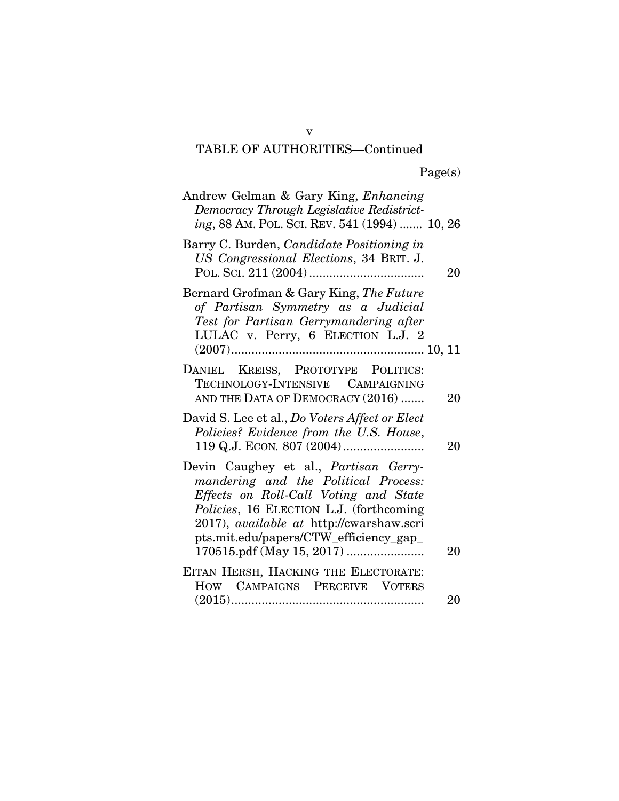| Andrew Gelman & Gary King, Enhancing<br>Democracy Through Legislative Redistrict-<br>ing, 88 AM. POL. SCI. REV. 541 (1994)  10, 26                                                                                                                      |    |
|---------------------------------------------------------------------------------------------------------------------------------------------------------------------------------------------------------------------------------------------------------|----|
| Barry C. Burden, Candidate Positioning in<br>US Congressional Elections, 34 BRIT. J.                                                                                                                                                                    | 20 |
| Bernard Grofman & Gary King, The Future<br>of Partisan Symmetry as a Judicial<br>Test for Partisan Gerrymandering after<br>LULAC v. Perry, 6 ELECTION L.J. 2                                                                                            |    |
| DANIEL KREISS, PROTOTYPE POLITICS:<br>TECHNOLOGY-INTENSIVE CAMPAIGNING<br>AND THE DATA OF DEMOCRACY (2016)                                                                                                                                              | 20 |
| David S. Lee et al., Do Voters Affect or Elect<br>Policies? Evidence from the U.S. House,                                                                                                                                                               | 20 |
| Devin Caughey et al., Partisan Gerry-<br>mandering and the Political Process:<br>Effects on Roll-Call Voting and State<br>Policies, 16 ELECTION L.J. (forthcoming<br>2017), available at http://cwarshaw.scri<br>pts.mit.edu/papers/CTW_efficiency_gap_ | 20 |
| EITAN HERSH, HACKING THE ELECTORATE:<br>HOW CAMPAIGNS PERCEIVE VOTERS                                                                                                                                                                                   |    |
|                                                                                                                                                                                                                                                         | 20 |

v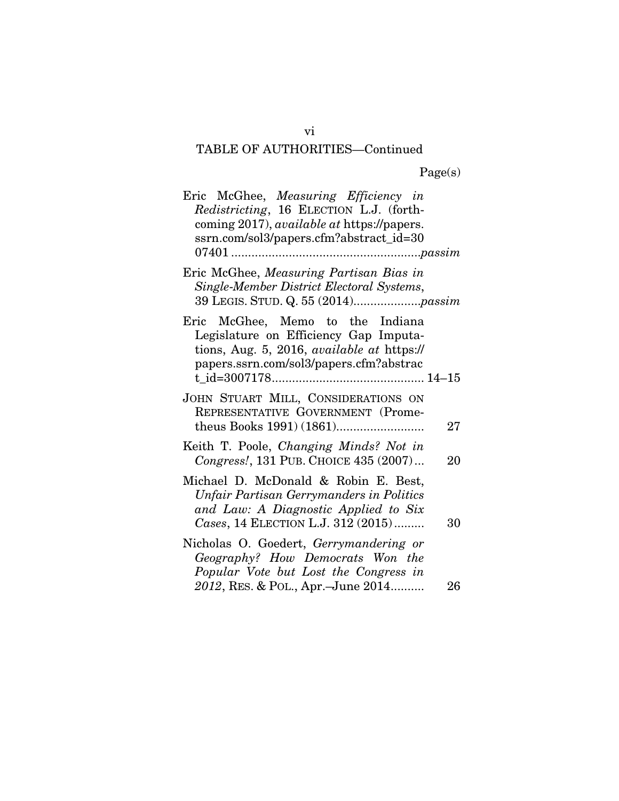Page(s)

| Eric McGhee, Measuring Efficiency in<br>Redistricting, 16 ELECTION L.J. (forth-<br>coming 2017), <i>available at</i> https://papers.<br>ssrn.com/sol3/papers.cfm?abstract_id=30 |    |
|---------------------------------------------------------------------------------------------------------------------------------------------------------------------------------|----|
| Eric McGhee, Measuring Partisan Bias in<br>Single-Member District Electoral Systems,                                                                                            |    |
| Eric McGhee, Memo to the Indiana<br>Legislature on Efficiency Gap Imputa-<br>tions, Aug. 5, 2016, <i>available at https://</i><br>papers.ssrn.com/sol3/papers.cfm?abstrac       |    |
| JOHN STUART MILL, CONSIDERATIONS ON<br>REPRESENTATIVE GOVERNMENT (Prome-                                                                                                        | 27 |
| Keith T. Poole, Changing Minds? Not in<br>Congress!, 131 PUB. CHOICE 435 (2007)                                                                                                 | 20 |
| Michael D. McDonald & Robin E. Best,<br>Unfair Partisan Gerrymanders in Politics<br>and Law: A Diagnostic Applied to Six<br>Cases, 14 ELECTION L.J. 312 (2015)                  | 30 |
| Nicholas O. Goedert, Gerrymandering or<br>Geography? How Democrats Won the<br>Popular Vote but Lost the Congress in<br>2012, RES. & POL., Apr.-June 2014                        | 26 |

vi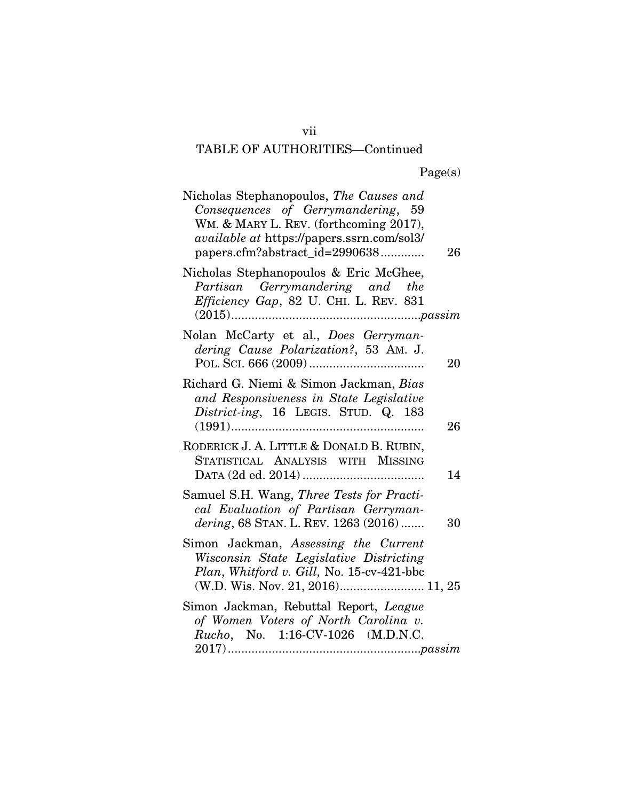| Nicholas Stephanopoulos, The Causes and<br>Consequences of Gerrymandering, 59<br>WM. & MARY L. REV. (forthcoming 2017),<br><i>available at https://papers.ssrn.com/sol3/</i><br>papers.cfm?abstract_id=2990638 | 26 |
|----------------------------------------------------------------------------------------------------------------------------------------------------------------------------------------------------------------|----|
| Nicholas Stephanopoulos & Eric McGhee,<br>Partisan Gerrymandering and the<br>Efficiency Gap, 82 U. CHI. L. REV. 831<br>$(2015)$                                                                                |    |
| Nolan McCarty et al., Does Gerryman-<br>dering Cause Polarization?, 53 AM. J.                                                                                                                                  | 20 |
| Richard G. Niemi & Simon Jackman, Bias<br>and Responsiveness in State Legislative<br>District-ing, 16 LEGIS. STUD. Q. 183                                                                                      | 26 |
| RODERICK J. A. LITTLE & DONALD B. RUBIN,<br>STATISTICAL ANALYSIS WITH MISSING                                                                                                                                  | 14 |
| Samuel S.H. Wang, Three Tests for Practi-<br>cal Evaluation of Partisan Gerryman-<br>dering, 68 STAN. L. REV. 1263 (2016)                                                                                      | 30 |
| Simon Jackman, Assessing the Current<br>Wisconsin State Legislative Districting<br>Plan, Whitford v. Gill, No. 15-cv-421-bbc<br>(W.D. Wis. Nov. 21, 2016) 11, 25                                               |    |
| Simon Jackman, Rebuttal Report, League<br>of Women Voters of North Carolina v.<br>Rucho, No. 1:16-CV-1026 (M.D.N.C.                                                                                            |    |

vii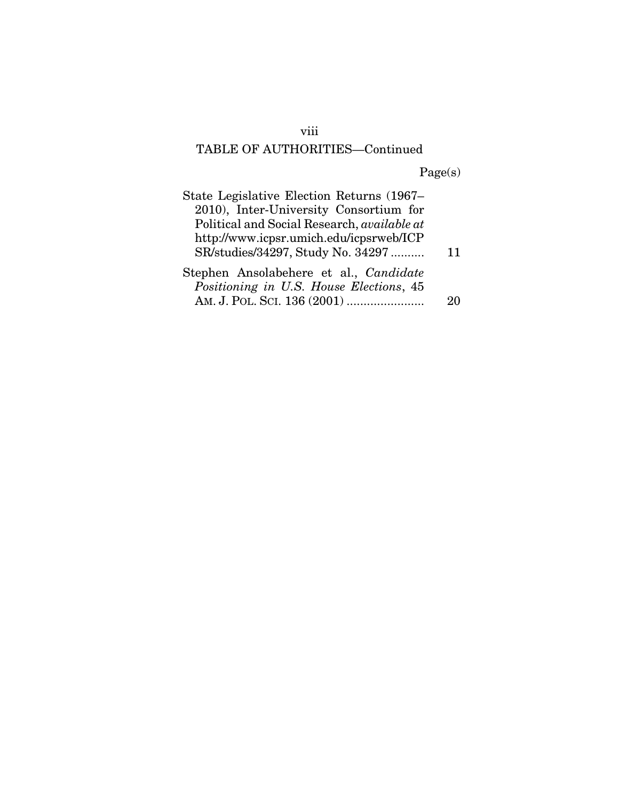# viii

# TABLE OF AUTHORITIES—Continued

Page(s)

| State Legislative Election Returns (1967–          |    |
|----------------------------------------------------|----|
| 2010), Inter-University Consortium for             |    |
| Political and Social Research, <i>available at</i> |    |
| http://www.icpsr.umich.edu/icpsrweb/ICP            |    |
| SR/studies/34297, Study No. 34297                  | 11 |
| Stephen Ansolabehere et al., Candidate             |    |
| Positioning in U.S. House Elections, 45            |    |
|                                                    |    |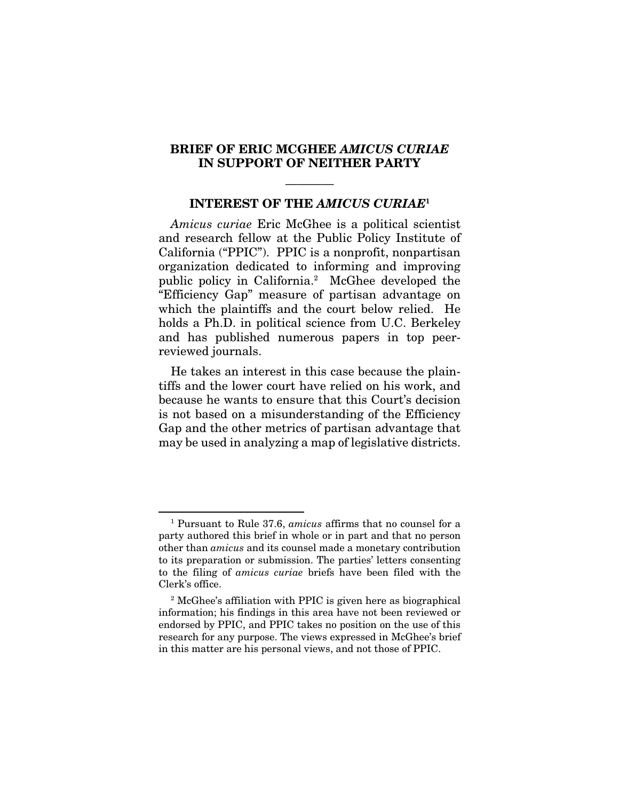#### BRIEF OF ERIC MCGHEE *AMICUS CURIAE*  IN SUPPORT OF NEITHER PARTY

## ———— INTEREST OF THE *AMICUS CURIAE*<sup>1</sup>

*Amicus curiae* Eric McGhee is a political scientist and research fellow at the Public Policy Institute of California ("PPIC"). PPIC is a nonprofit, nonpartisan organization dedicated to informing and improving public policy in California.2 McGhee developed the "Efficiency Gap" measure of partisan advantage on which the plaintiffs and the court below relied. He holds a Ph.D. in political science from U.C. Berkeley and has published numerous papers in top peerreviewed journals.

He takes an interest in this case because the plaintiffs and the lower court have relied on his work, and because he wants to ensure that this Court's decision is not based on a misunderstanding of the Efficiency Gap and the other metrics of partisan advantage that may be used in analyzing a map of legislative districts.

<sup>1</sup> Pursuant to Rule 37.6, *amicus* affirms that no counsel for a party authored this brief in whole or in part and that no person other than *amicus* and its counsel made a monetary contribution to its preparation or submission. The parties' letters consenting to the filing of *amicus curiae* briefs have been filed with the Clerk's office.

<sup>&</sup>lt;sup>2</sup> McGhee's affiliation with PPIC is given here as biographical information; his findings in this area have not been reviewed or endorsed by PPIC, and PPIC takes no position on the use of this research for any purpose. The views expressed in McGhee's brief in this matter are his personal views, and not those of PPIC.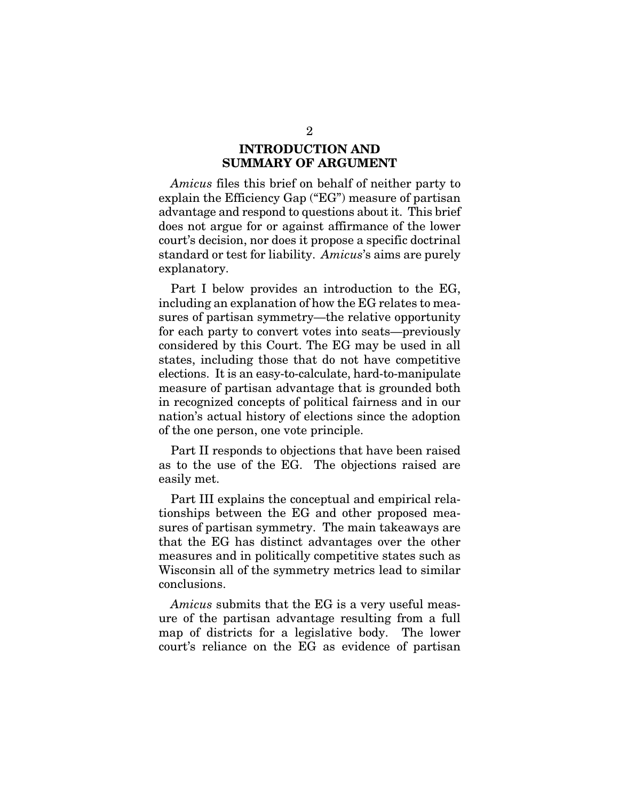## INTRODUCTION AND SUMMARY OF ARGUMENT

*Amicus* files this brief on behalf of neither party to explain the Efficiency Gap ("EG") measure of partisan advantage and respond to questions about it. This brief does not argue for or against affirmance of the lower court's decision, nor does it propose a specific doctrinal standard or test for liability. *Amicus*'s aims are purely explanatory.

Part I below provides an introduction to the EG, including an explanation of how the EG relates to measures of partisan symmetry—the relative opportunity for each party to convert votes into seats—previously considered by this Court. The EG may be used in all states, including those that do not have competitive elections. It is an easy-to-calculate, hard-to-manipulate measure of partisan advantage that is grounded both in recognized concepts of political fairness and in our nation's actual history of elections since the adoption of the one person, one vote principle.

Part II responds to objections that have been raised as to the use of the EG. The objections raised are easily met.

Part III explains the conceptual and empirical relationships between the EG and other proposed measures of partisan symmetry. The main takeaways are that the EG has distinct advantages over the other measures and in politically competitive states such as Wisconsin all of the symmetry metrics lead to similar conclusions.

*Amicus* submits that the EG is a very useful measure of the partisan advantage resulting from a full map of districts for a legislative body. The lower court's reliance on the EG as evidence of partisan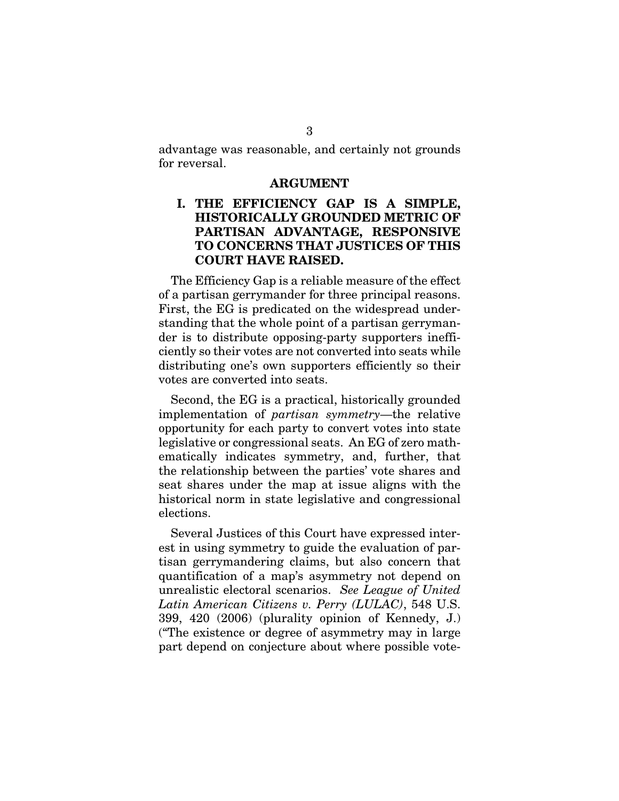advantage was reasonable, and certainly not grounds for reversal.

#### ARGUMENT

## I. THE EFFICIENCY GAP IS A SIMPLE, HISTORICALLY GROUNDED METRIC OF PARTISAN ADVANTAGE, RESPONSIVE TO CONCERNS THAT JUSTICES OF THIS COURT HAVE RAISED.

The Efficiency Gap is a reliable measure of the effect of a partisan gerrymander for three principal reasons. First, the EG is predicated on the widespread understanding that the whole point of a partisan gerrymander is to distribute opposing-party supporters inefficiently so their votes are not converted into seats while distributing one's own supporters efficiently so their votes are converted into seats.

Second, the EG is a practical, historically grounded implementation of *partisan symmetry*—the relative opportunity for each party to convert votes into state legislative or congressional seats. An EG of zero mathematically indicates symmetry, and, further, that the relationship between the parties' vote shares and seat shares under the map at issue aligns with the historical norm in state legislative and congressional elections.

Several Justices of this Court have expressed interest in using symmetry to guide the evaluation of partisan gerrymandering claims, but also concern that quantification of a map's asymmetry not depend on unrealistic electoral scenarios. *See League of United Latin American Citizens v. Perry (LULAC)*, 548 U.S. 399, 420 (2006) (plurality opinion of Kennedy, J.) ("The existence or degree of asymmetry may in large part depend on conjecture about where possible vote-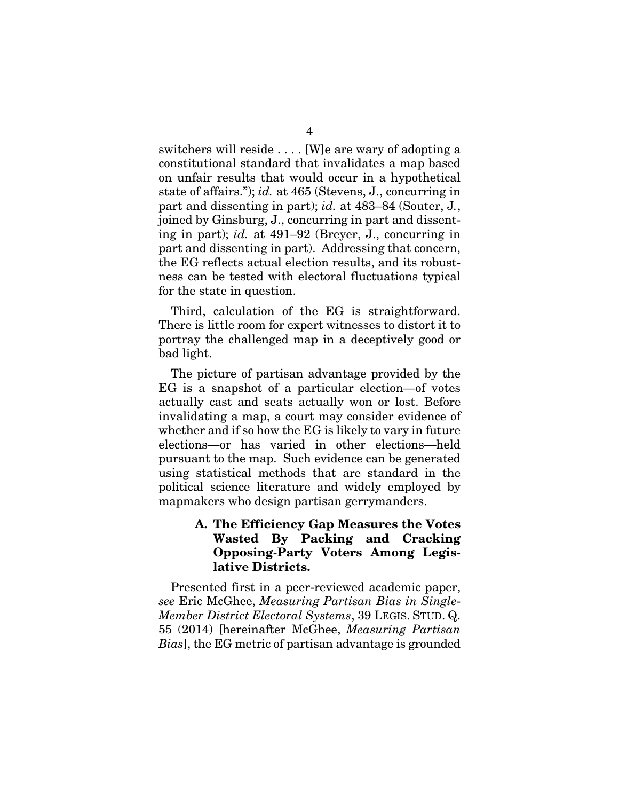switchers will reside . . . . [W]e are wary of adopting a constitutional standard that invalidates a map based on unfair results that would occur in a hypothetical state of affairs."); *id.* at 465 (Stevens, J., concurring in part and dissenting in part); *id.* at 483–84 (Souter, J*.*, joined by Ginsburg, J., concurring in part and dissenting in part); *id.* at 491–92 (Breyer, J., concurring in part and dissenting in part). Addressing that concern, the EG reflects actual election results, and its robustness can be tested with electoral fluctuations typical for the state in question.

Third, calculation of the EG is straightforward. There is little room for expert witnesses to distort it to portray the challenged map in a deceptively good or bad light.

The picture of partisan advantage provided by the EG is a snapshot of a particular election—of votes actually cast and seats actually won or lost. Before invalidating a map, a court may consider evidence of whether and if so how the EG is likely to vary in future elections—or has varied in other elections—held pursuant to the map. Such evidence can be generated using statistical methods that are standard in the political science literature and widely employed by mapmakers who design partisan gerrymanders.

## A. The Efficiency Gap Measures the Votes Wasted By Packing and Cracking Opposing-Party Voters Among Legislative Districts.

Presented first in a peer-reviewed academic paper, *see* Eric McGhee, *Measuring Partisan Bias in Single*-*Member District Electoral Systems*, 39 LEGIS. STUD. Q. 55 (2014) [hereinafter McGhee, *Measuring Partisan Bias*], the EG metric of partisan advantage is grounded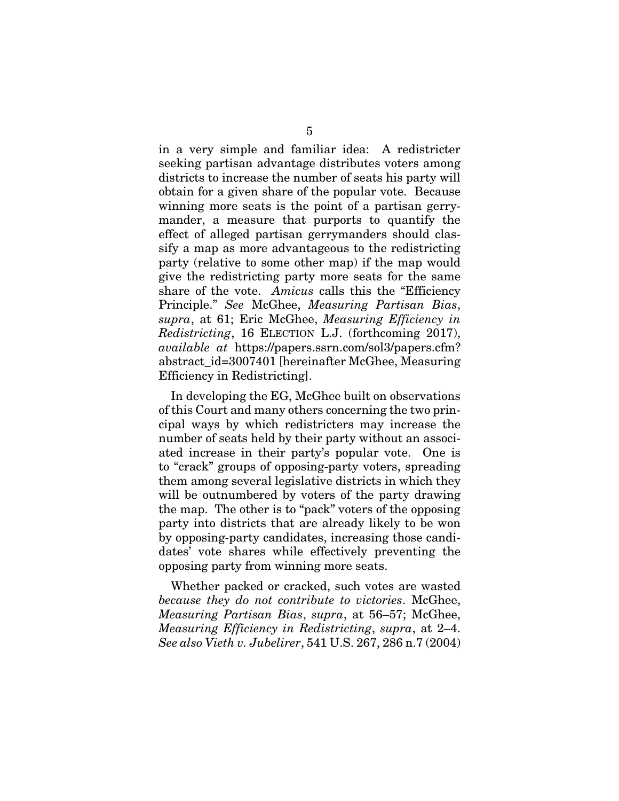in a very simple and familiar idea: A redistricter seeking partisan advantage distributes voters among districts to increase the number of seats his party will obtain for a given share of the popular vote. Because winning more seats is the point of a partisan gerrymander, a measure that purports to quantify the effect of alleged partisan gerrymanders should classify a map as more advantageous to the redistricting party (relative to some other map) if the map would give the redistricting party more seats for the same share of the vote. *Amicus* calls this the "Efficiency Principle." *See* McGhee, *Measuring Partisan Bias*, *supra*, at 61; Eric McGhee, *Measuring Efficiency in Redistricting*, 16 ELECTION L.J. (forthcoming 2017), *available at* https://papers.ssrn.com/sol3/papers.cfm? abstract\_id=3007401 [hereinafter McGhee, Measuring Efficiency in Redistricting].

In developing the EG, McGhee built on observations of this Court and many others concerning the two principal ways by which redistricters may increase the number of seats held by their party without an associated increase in their party's popular vote. One is to "crack" groups of opposing-party voters, spreading them among several legislative districts in which they will be outnumbered by voters of the party drawing the map. The other is to "pack" voters of the opposing party into districts that are already likely to be won by opposing-party candidates, increasing those candidates' vote shares while effectively preventing the opposing party from winning more seats.

Whether packed or cracked, such votes are wasted *because they do not contribute to victories*. McGhee, *Measuring Partisan Bias*, *supra*, at 56–57; McGhee, *Measuring Efficiency in Redistricting*, *supra*, at 2–4. *See also Vieth v. Jubelirer*, 541 U.S. 267, 286 n.7 (2004)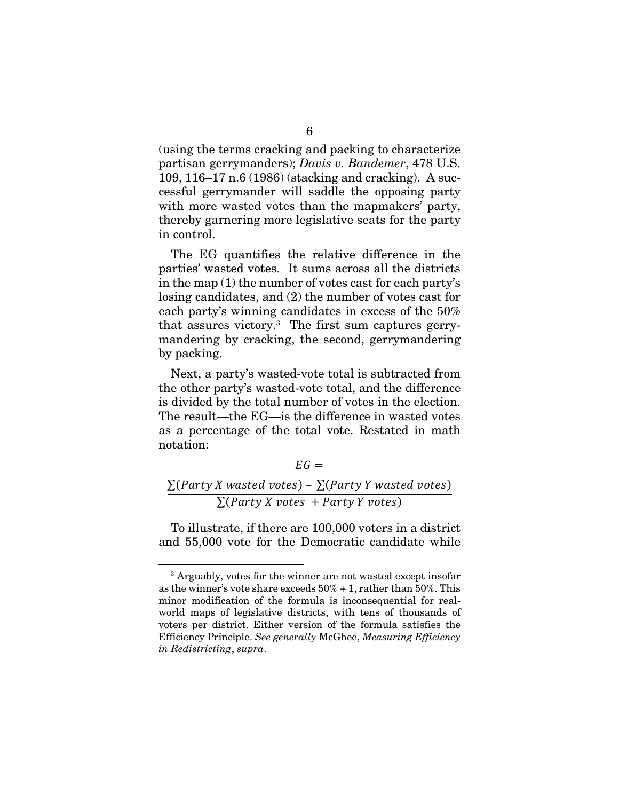(using the terms cracking and packing to characterize partisan gerrymanders); *Davis v. Bandemer*, 478 U.S. 109, 116–17 n.6 (1986) (stacking and cracking). A successful gerrymander will saddle the opposing party with more wasted votes than the mapmakers' party, thereby garnering more legislative seats for the party in control.

The EG quantifies the relative difference in the parties' wasted votes. It sums across all the districts in the map (1) the number of votes cast for each party's losing candidates, and (2) the number of votes cast for each party's winning candidates in excess of the 50% that assures victory.3 The first sum captures gerrymandering by cracking, the second, gerrymandering by packing.

Next, a party's wasted-vote total is subtracted from the other party's wasted-vote total, and the difference is divided by the total number of votes in the election. The result—the EG—is the difference in wasted votes as a percentage of the total vote. Restated in math notation:

 $EG =$  $\sum$ (Party X wasted votes) –  $\sum$ (Party Y wasted votes)  $\sum$ (Party X votes + Party Y votes)

To illustrate, if there are 100,000 voters in a district and 55,000 vote for the Democratic candidate while

 3 Arguably, votes for the winner are not wasted except insofar as the winner's vote share exceeds  $50\% + 1$ , rather than  $50\%$ . This minor modification of the formula is inconsequential for realworld maps of legislative districts, with tens of thousands of voters per district. Either version of the formula satisfies the Efficiency Principle. *See generally* McGhee, *Measuring Efficiency in Redistricting*, *supra*.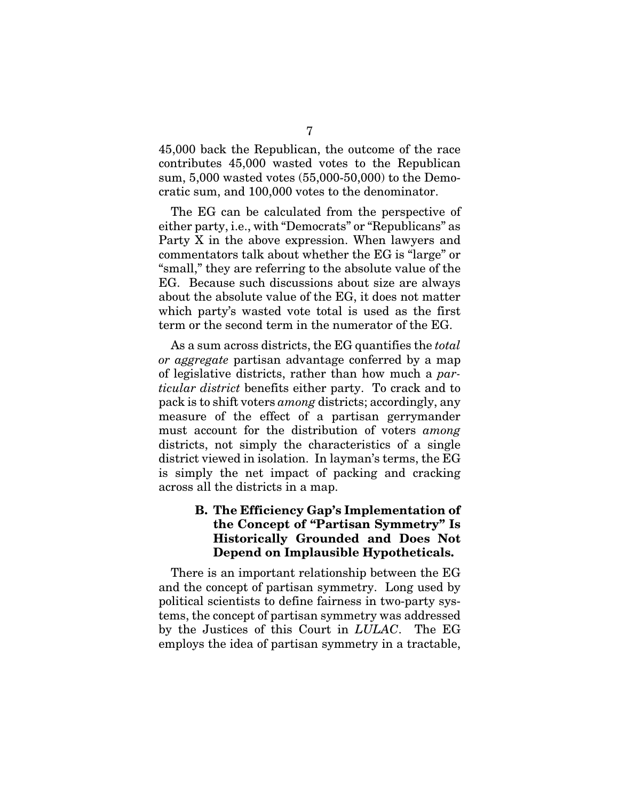45,000 back the Republican, the outcome of the race contributes 45,000 wasted votes to the Republican sum, 5,000 wasted votes (55,000-50,000) to the Democratic sum, and 100,000 votes to the denominator.

The EG can be calculated from the perspective of either party, i.e., with "Democrats" or "Republicans" as Party X in the above expression. When lawyers and commentators talk about whether the EG is "large" or "small," they are referring to the absolute value of the EG. Because such discussions about size are always about the absolute value of the EG, it does not matter which party's wasted vote total is used as the first term or the second term in the numerator of the EG.

As a sum across districts, the EG quantifies the *total or aggregate* partisan advantage conferred by a map of legislative districts, rather than how much a *particular district* benefits either party. To crack and to pack is to shift voters *among* districts; accordingly, any measure of the effect of a partisan gerrymander must account for the distribution of voters *among*  districts, not simply the characteristics of a single district viewed in isolation. In layman's terms, the EG is simply the net impact of packing and cracking across all the districts in a map.

## B. The Efficiency Gap's Implementation of the Concept of "Partisan Symmetry" Is Historically Grounded and Does Not Depend on Implausible Hypotheticals.

There is an important relationship between the EG and the concept of partisan symmetry. Long used by political scientists to define fairness in two-party systems, the concept of partisan symmetry was addressed by the Justices of this Court in *LULAC*. The EG employs the idea of partisan symmetry in a tractable,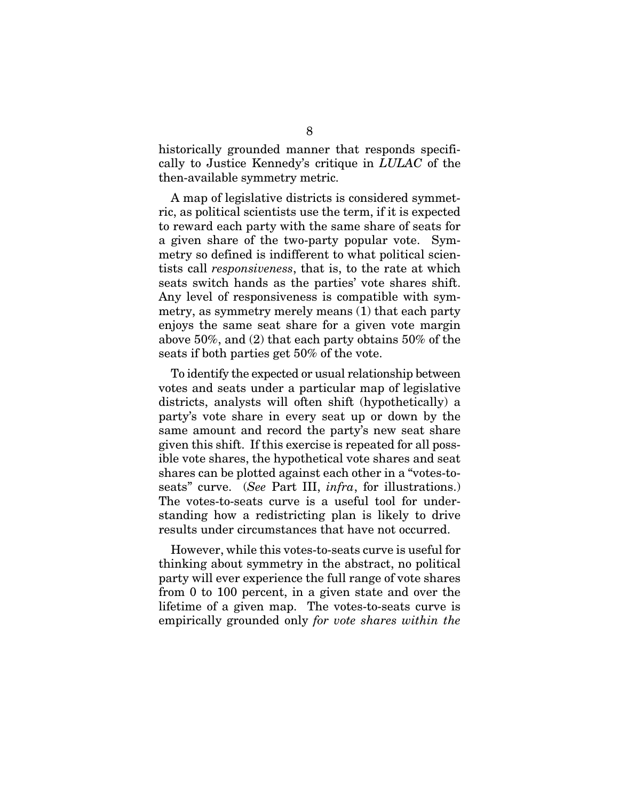historically grounded manner that responds specifically to Justice Kennedy's critique in *LULAC* of the then-available symmetry metric.

A map of legislative districts is considered symmetric, as political scientists use the term, if it is expected to reward each party with the same share of seats for a given share of the two-party popular vote. Symmetry so defined is indifferent to what political scientists call *responsiveness*, that is, to the rate at which seats switch hands as the parties' vote shares shift. Any level of responsiveness is compatible with symmetry, as symmetry merely means (1) that each party enjoys the same seat share for a given vote margin above 50%, and (2) that each party obtains 50% of the seats if both parties get 50% of the vote.

To identify the expected or usual relationship between votes and seats under a particular map of legislative districts, analysts will often shift (hypothetically) a party's vote share in every seat up or down by the same amount and record the party's new seat share given this shift. If this exercise is repeated for all possible vote shares, the hypothetical vote shares and seat shares can be plotted against each other in a "votes-toseats" curve. (*See* Part III, *infra*, for illustrations.) The votes-to-seats curve is a useful tool for understanding how a redistricting plan is likely to drive results under circumstances that have not occurred.

However, while this votes-to-seats curve is useful for thinking about symmetry in the abstract, no political party will ever experience the full range of vote shares from 0 to 100 percent, in a given state and over the lifetime of a given map. The votes-to-seats curve is empirically grounded only *for vote shares within the*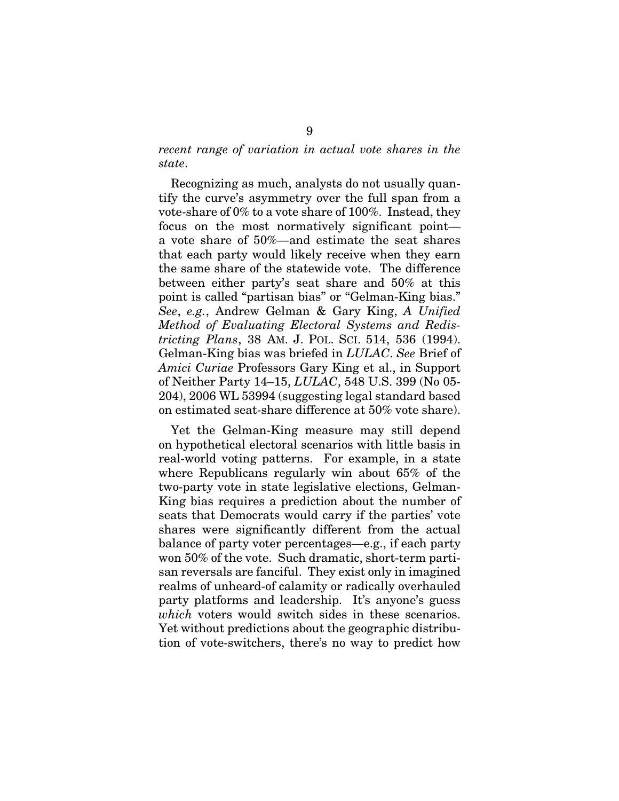## *recent range of variation in actual vote shares in the state*.

Recognizing as much, analysts do not usually quantify the curve's asymmetry over the full span from a vote-share of 0% to a vote share of 100%. Instead, they focus on the most normatively significant point a vote share of 50%—and estimate the seat shares that each party would likely receive when they earn the same share of the statewide vote. The difference between either party's seat share and 50% at this point is called "partisan bias" or "Gelman-King bias." *See*, *e.g.*, Andrew Gelman & Gary King, *A Unified Method of Evaluating Electoral Systems and Redistricting Plans*, 38 AM. J. POL. SCI. 514, 536 (1994). Gelman-King bias was briefed in *LULAC*. *See* Brief of *Amici Curiae* Professors Gary King et al., in Support of Neither Party 14–15, *LULAC*, 548 U.S. 399 (No 05- 204), 2006 WL 53994 (suggesting legal standard based on estimated seat-share difference at 50% vote share).

Yet the Gelman-King measure may still depend on hypothetical electoral scenarios with little basis in real-world voting patterns. For example, in a state where Republicans regularly win about 65% of the two-party vote in state legislative elections, Gelman-King bias requires a prediction about the number of seats that Democrats would carry if the parties' vote shares were significantly different from the actual balance of party voter percentages—e.g., if each party won 50% of the vote. Such dramatic, short-term partisan reversals are fanciful. They exist only in imagined realms of unheard-of calamity or radically overhauled party platforms and leadership. It's anyone's guess *which* voters would switch sides in these scenarios. Yet without predictions about the geographic distribution of vote-switchers, there's no way to predict how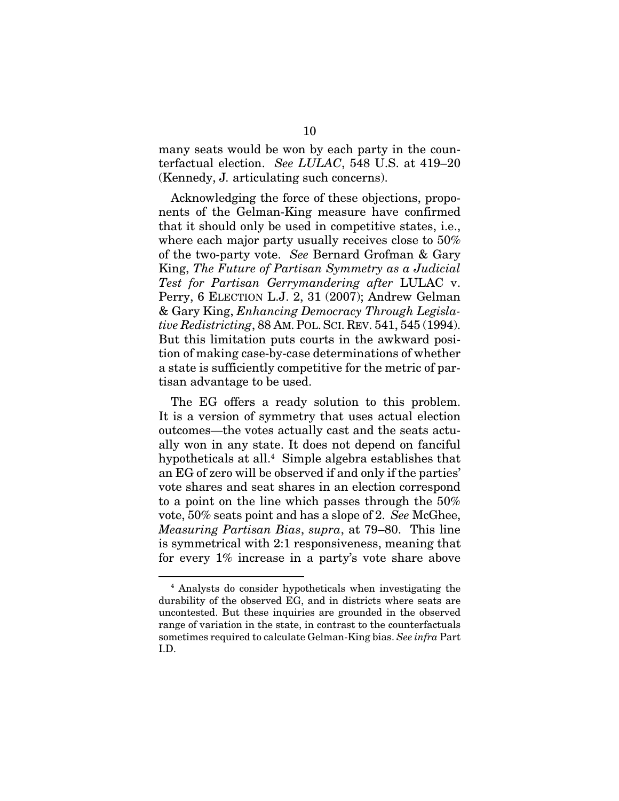many seats would be won by each party in the counterfactual election. *See LULAC*, 548 U.S. at 419–20 (Kennedy, J*.* articulating such concerns).

Acknowledging the force of these objections, proponents of the Gelman-King measure have confirmed that it should only be used in competitive states, i.e., where each major party usually receives close to 50% of the two-party vote. *See* Bernard Grofman & Gary King, *The Future of Partisan Symmetry as a Judicial Test for Partisan Gerrymandering after* LULAC v. Perry, 6 ELECTION L.J. 2, 31 (2007); Andrew Gelman & Gary King, *Enhancing Democracy Through Legislative Redistricting*, 88 AM.POL.SCI. REV. 541, 545 (1994). But this limitation puts courts in the awkward position of making case-by-case determinations of whether a state is sufficiently competitive for the metric of partisan advantage to be used.

The EG offers a ready solution to this problem. It is a version of symmetry that uses actual election outcomes—the votes actually cast and the seats actually won in any state. It does not depend on fanciful hypotheticals at all.4 Simple algebra establishes that an EG of zero will be observed if and only if the parties' vote shares and seat shares in an election correspond to a point on the line which passes through the 50% vote, 50% seats point and has a slope of 2. *See* McGhee, *Measuring Partisan Bias*, *supra*, at 79–80. This line is symmetrical with 2:1 responsiveness, meaning that for every 1% increase in a party's vote share above

<sup>4</sup> Analysts do consider hypotheticals when investigating the durability of the observed EG, and in districts where seats are uncontested. But these inquiries are grounded in the observed range of variation in the state, in contrast to the counterfactuals sometimes required to calculate Gelman-King bias. *See infra* Part I.D.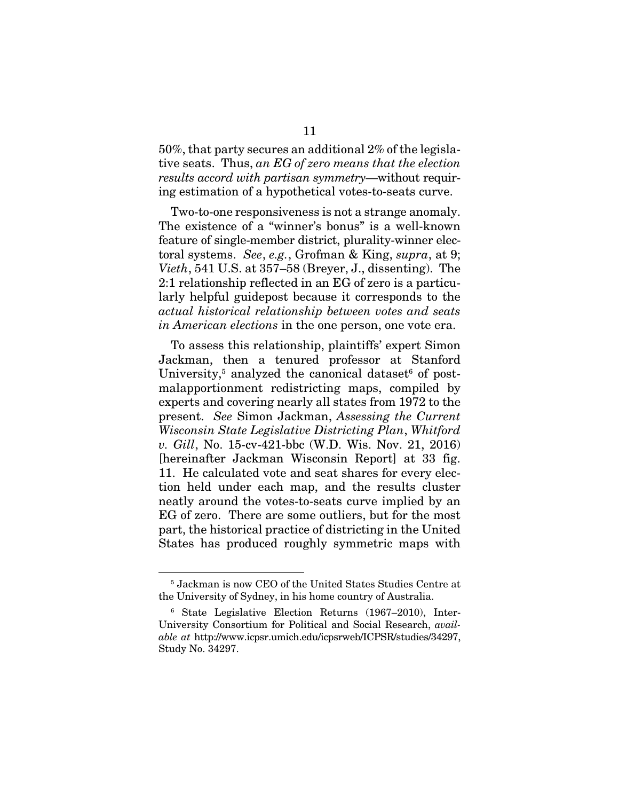50%, that party secures an additional 2% of the legislative seats. Thus, *an EG of zero means that the election results accord with partisan symmetry*—without requiring estimation of a hypothetical votes-to-seats curve.

Two-to-one responsiveness is not a strange anomaly. The existence of a "winner's bonus" is a well-known feature of single-member district, plurality-winner electoral systems. *See*, *e.g.*, Grofman & King, *supra*, at 9; *Vieth*, 541 U.S. at 357–58 (Breyer, J., dissenting). The 2:1 relationship reflected in an EG of zero is a particularly helpful guidepost because it corresponds to the *actual historical relationship between votes and seats in American elections* in the one person, one vote era.

To assess this relationship, plaintiffs' expert Simon Jackman, then a tenured professor at Stanford University,<sup>5</sup> analyzed the canonical dataset<sup>6</sup> of postmalapportionment redistricting maps, compiled by experts and covering nearly all states from 1972 to the present. *See* Simon Jackman, *Assessing the Current Wisconsin State Legislative Districting Plan*, *Whitford v. Gill*, No. 15-cv-421-bbc (W.D. Wis. Nov. 21, 2016) [hereinafter Jackman Wisconsin Report] at 33 fig. 11. He calculated vote and seat shares for every election held under each map, and the results cluster neatly around the votes-to-seats curve implied by an EG of zero. There are some outliers, but for the most part, the historical practice of districting in the United States has produced roughly symmetric maps with

<sup>5</sup> Jackman is now CEO of the United States Studies Centre at the University of Sydney, in his home country of Australia.

<sup>6</sup> State Legislative Election Returns (1967–2010), Inter-University Consortium for Political and Social Research, *available at* http://www.icpsr.umich.edu/icpsrweb/ICPSR/studies/34297, Study No. 34297.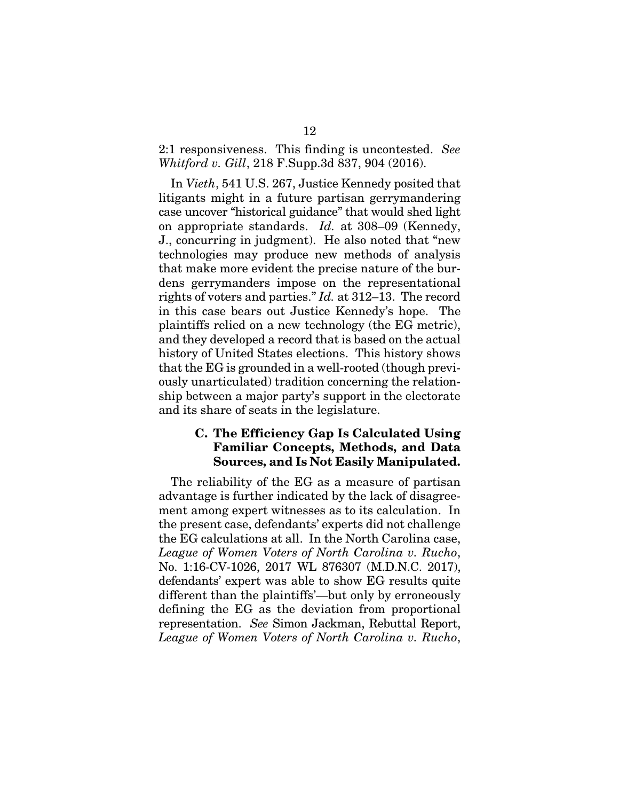## 2:1 responsiveness. This finding is uncontested. *See Whitford v. Gill*, 218 F.Supp.3d 837, 904 (2016).

In *Vieth*, 541 U.S. 267, Justice Kennedy posited that litigants might in a future partisan gerrymandering case uncover "historical guidance" that would shed light on appropriate standards. *Id.* at 308–09 (Kennedy, J., concurring in judgment). He also noted that "new technologies may produce new methods of analysis that make more evident the precise nature of the burdens gerrymanders impose on the representational rights of voters and parties." *Id.* at 312–13. The record in this case bears out Justice Kennedy's hope. The plaintiffs relied on a new technology (the EG metric), and they developed a record that is based on the actual history of United States elections. This history shows that the EG is grounded in a well-rooted (though previously unarticulated) tradition concerning the relationship between a major party's support in the electorate and its share of seats in the legislature.

## C. The Efficiency Gap Is Calculated Using Familiar Concepts, Methods, and Data Sources, and Is Not Easily Manipulated.

The reliability of the EG as a measure of partisan advantage is further indicated by the lack of disagreement among expert witnesses as to its calculation. In the present case, defendants' experts did not challenge the EG calculations at all. In the North Carolina case, *League of Women Voters of North Carolina v. Rucho*, No. 1:16-CV-1026, 2017 WL 876307 (M.D.N.C. 2017), defendants' expert was able to show EG results quite different than the plaintiffs'—but only by erroneously defining the EG as the deviation from proportional representation. *See* Simon Jackman, Rebuttal Report, *League of Women Voters of North Carolina v. Rucho*,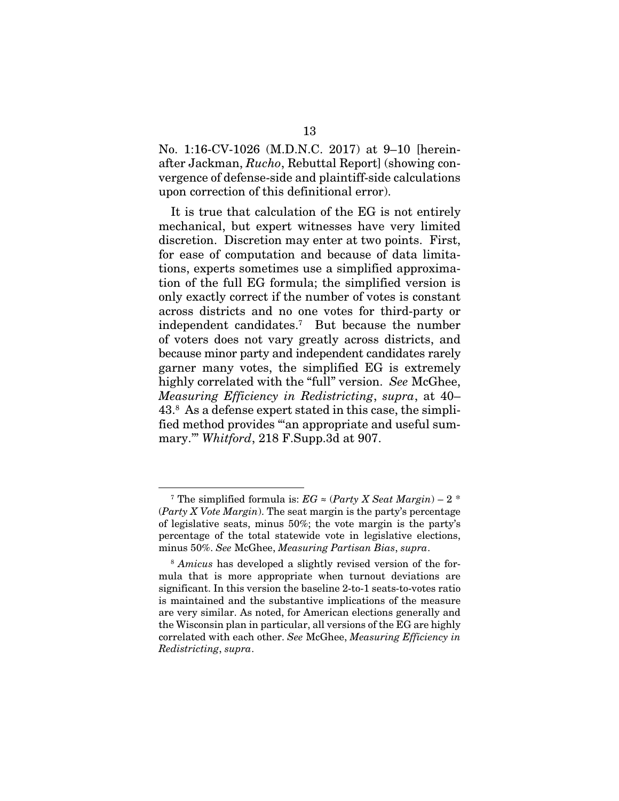No. 1:16-CV-1026 (M.D.N.C. 2017) at 9–10 [hereinafter Jackman, *Rucho*, Rebuttal Report] (showing convergence of defense-side and plaintiff-side calculations upon correction of this definitional error).

It is true that calculation of the EG is not entirely mechanical, but expert witnesses have very limited discretion. Discretion may enter at two points. First, for ease of computation and because of data limitations, experts sometimes use a simplified approximation of the full EG formula; the simplified version is only exactly correct if the number of votes is constant across districts and no one votes for third-party or independent candidates.7 But because the number of voters does not vary greatly across districts, and because minor party and independent candidates rarely garner many votes, the simplified EG is extremely highly correlated with the "full" version. *See* McGhee, *Measuring Efficiency in Redistricting*, *supra*, at 40– 43.8 As a defense expert stated in this case, the simplified method provides "'an appropriate and useful summary.'" *Whitford*, 218 F.Supp.3d at 907.

<sup>&</sup>lt;sup>7</sup> The simplified formula is:  $EG \approx (Party X Seat Margin) - 2$ <sup>\*</sup> (*Party X Vote Margin*). The seat margin is the party's percentage of legislative seats, minus 50%; the vote margin is the party's percentage of the total statewide vote in legislative elections, minus 50%. *See* McGhee, *Measuring Partisan Bias*, *supra*.

<sup>8</sup> *Amicus* has developed a slightly revised version of the formula that is more appropriate when turnout deviations are significant. In this version the baseline 2-to-1 seats-to-votes ratio is maintained and the substantive implications of the measure are very similar. As noted, for American elections generally and the Wisconsin plan in particular, all versions of the EG are highly correlated with each other. *See* McGhee, *Measuring Efficiency in Redistricting*, *supra*.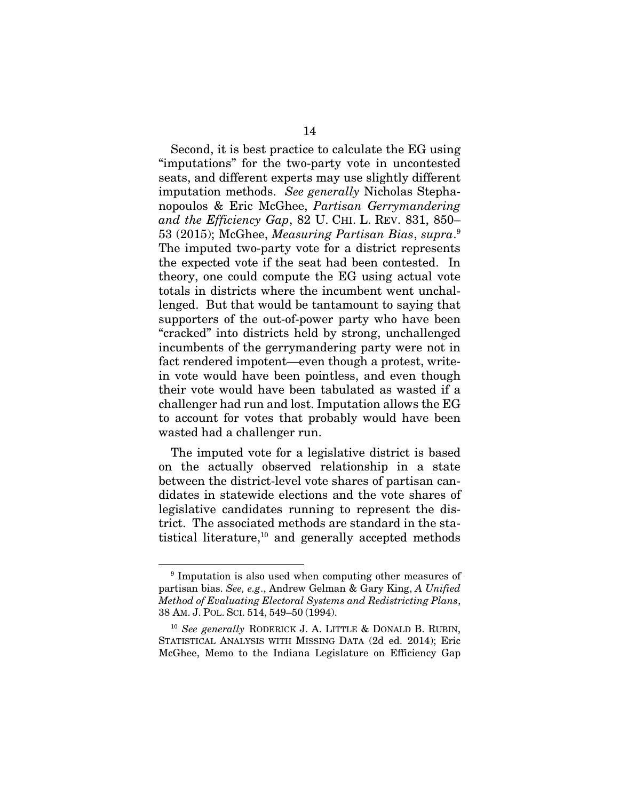Second, it is best practice to calculate the EG using "imputations" for the two-party vote in uncontested seats, and different experts may use slightly different imputation methods. *See generally* Nicholas Stephanopoulos & Eric McGhee, *Partisan Gerrymandering and the Efficiency Gap*, 82 U. CHI. L. REV. 831, 850– 53 (2015); McGhee, *Measuring Partisan Bias*, *supra*. 9 The imputed two-party vote for a district represents the expected vote if the seat had been contested. In theory, one could compute the EG using actual vote totals in districts where the incumbent went unchallenged. But that would be tantamount to saying that supporters of the out-of-power party who have been "cracked" into districts held by strong, unchallenged incumbents of the gerrymandering party were not in fact rendered impotent—even though a protest, writein vote would have been pointless, and even though their vote would have been tabulated as wasted if a challenger had run and lost. Imputation allows the EG to account for votes that probably would have been wasted had a challenger run.

The imputed vote for a legislative district is based on the actually observed relationship in a state between the district-level vote shares of partisan candidates in statewide elections and the vote shares of legislative candidates running to represent the district. The associated methods are standard in the statistical literature,10 and generally accepted methods

<sup>9</sup> Imputation is also used when computing other measures of partisan bias. *See, e.g*., Andrew Gelman & Gary King, *A Unified Method of Evaluating Electoral Systems and Redistricting Plans*, 38 AM. J. POL. SCI. 514, 549–50 (1994).

<sup>10</sup> *See generally* RODERICK J. A. LITTLE & DONALD B. RUBIN, STATISTICAL ANALYSIS WITH MISSING DATA (2d ed. 2014); Eric McGhee, Memo to the Indiana Legislature on Efficiency Gap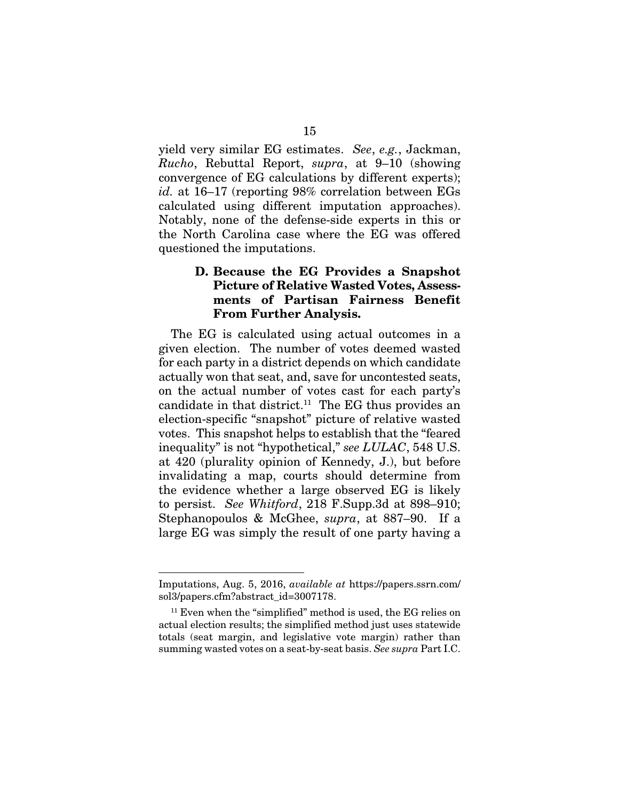yield very similar EG estimates. *See*, *e.g.*, Jackman, *Rucho*, Rebuttal Report, *supra*, at 9–10 (showing convergence of EG calculations by different experts); *id.* at 16–17 (reporting 98% correlation between EGs calculated using different imputation approaches). Notably, none of the defense-side experts in this or the North Carolina case where the EG was offered questioned the imputations.

#### D. Because the EG Provides a Snapshot Picture of Relative Wasted Votes, Assessments of Partisan Fairness Benefit From Further Analysis.

The EG is calculated using actual outcomes in a given election. The number of votes deemed wasted for each party in a district depends on which candidate actually won that seat, and, save for uncontested seats, on the actual number of votes cast for each party's candidate in that district.<sup>11</sup> The EG thus provides an election-specific "snapshot" picture of relative wasted votes. This snapshot helps to establish that the "feared inequality" is not "hypothetical," *see LULAC*, 548 U.S. at 420 (plurality opinion of Kennedy, J.), but before invalidating a map, courts should determine from the evidence whether a large observed EG is likely to persist. *See Whitford*, 218 F.Supp.3d at 898–910; Stephanopoulos & McGhee, *supra*, at 887–90. If a large EG was simply the result of one party having a

Imputations, Aug. 5, 2016, *available at* https://papers.ssrn.com/ sol3/papers.cfm?abstract\_id=3007178.

<sup>&</sup>lt;sup>11</sup> Even when the "simplified" method is used, the EG relies on actual election results; the simplified method just uses statewide totals (seat margin, and legislative vote margin) rather than summing wasted votes on a seat-by-seat basis. *See supra* Part I.C.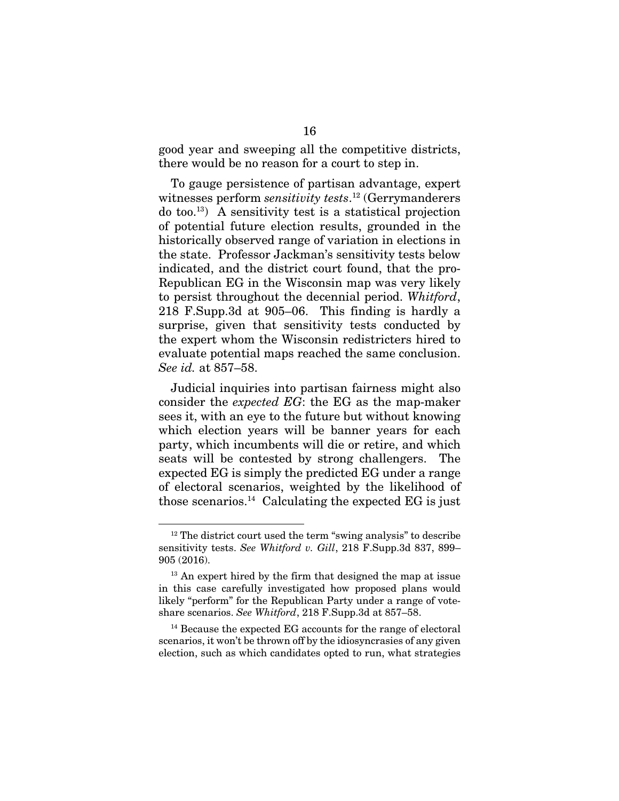good year and sweeping all the competitive districts, there would be no reason for a court to step in.

To gauge persistence of partisan advantage, expert witnesses perform *sensitivity tests*. 12 (Gerrymanderers  $\alpha$  too.<sup>13</sup>) A sensitivity test is a statistical projection of potential future election results, grounded in the historically observed range of variation in elections in the state. Professor Jackman's sensitivity tests below indicated, and the district court found, that the pro-Republican EG in the Wisconsin map was very likely to persist throughout the decennial period. *Whitford*, 218 F.Supp.3d at 905–06. This finding is hardly a surprise, given that sensitivity tests conducted by the expert whom the Wisconsin redistricters hired to evaluate potential maps reached the same conclusion. *See id.* at 857–58.

Judicial inquiries into partisan fairness might also consider the *expected EG*: the EG as the map-maker sees it, with an eye to the future but without knowing which election years will be banner years for each party, which incumbents will die or retire, and which seats will be contested by strong challengers. The expected EG is simply the predicted EG under a range of electoral scenarios, weighted by the likelihood of those scenarios.14 Calculating the expected EG is just

<sup>14</sup> Because the expected EG accounts for the range of electoral scenarios, it won't be thrown off by the idiosyncrasies of any given election, such as which candidates opted to run, what strategies

 $12$  The district court used the term "swing analysis" to describe sensitivity tests. *See Whitford v. Gill*, 218 F.Supp.3d 837, 899– 905 (2016).

<sup>&</sup>lt;sup>13</sup> An expert hired by the firm that designed the map at issue in this case carefully investigated how proposed plans would likely "perform" for the Republican Party under a range of voteshare scenarios. *See Whitford*, 218 F.Supp.3d at 857–58.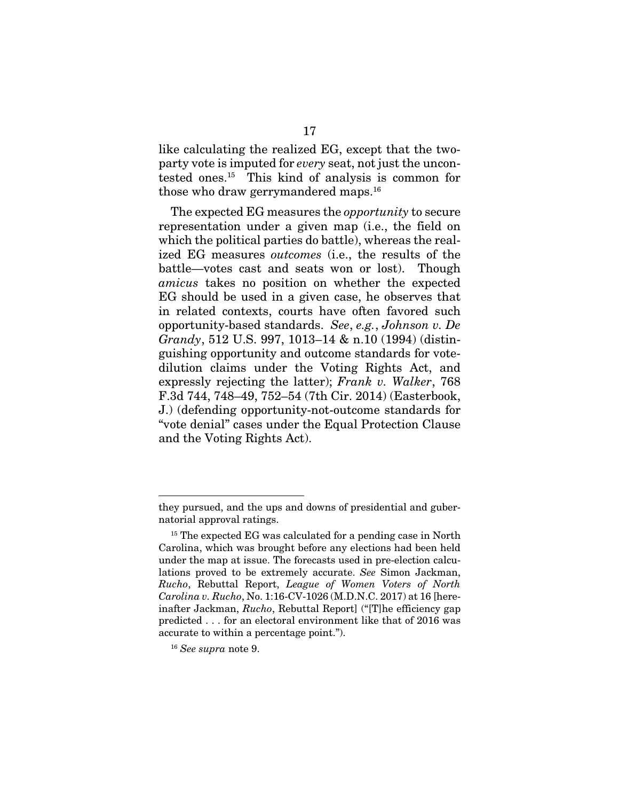like calculating the realized EG, except that the twoparty vote is imputed for *every* seat, not just the uncontested ones.15 This kind of analysis is common for those who draw gerrymandered maps.16

The expected EG measures the *opportunity* to secure representation under a given map (i.e., the field on which the political parties do battle), whereas the realized EG measures *outcomes* (i.e., the results of the battle—votes cast and seats won or lost). Though *amicus* takes no position on whether the expected EG should be used in a given case, he observes that in related contexts, courts have often favored such opportunity-based standards. *See*, *e.g.*, *Johnson v. De Grandy*, 512 U.S. 997, 1013–14 & n.10 (1994) (distinguishing opportunity and outcome standards for votedilution claims under the Voting Rights Act, and expressly rejecting the latter); *Frank v. Walker*, 768 F.3d 744, 748–49, 752–54 (7th Cir. 2014) (Easterbook, J.) (defending opportunity-not-outcome standards for "vote denial" cases under the Equal Protection Clause and the Voting Rights Act).

they pursued, and the ups and downs of presidential and gubernatorial approval ratings.

<sup>&</sup>lt;sup>15</sup> The expected EG was calculated for a pending case in North Carolina, which was brought before any elections had been held under the map at issue. The forecasts used in pre-election calculations proved to be extremely accurate. *See* Simon Jackman, *Rucho*, Rebuttal Report, *League of Women Voters of North Carolina v. Rucho*, No. 1:16-CV-1026 (M.D.N.C. 2017) at 16 [hereinafter Jackman, *Rucho*, Rebuttal Report] ("[T]he efficiency gap predicted . . . for an electoral environment like that of 2016 was accurate to within a percentage point.").

<sup>16</sup> *See supra* note 9.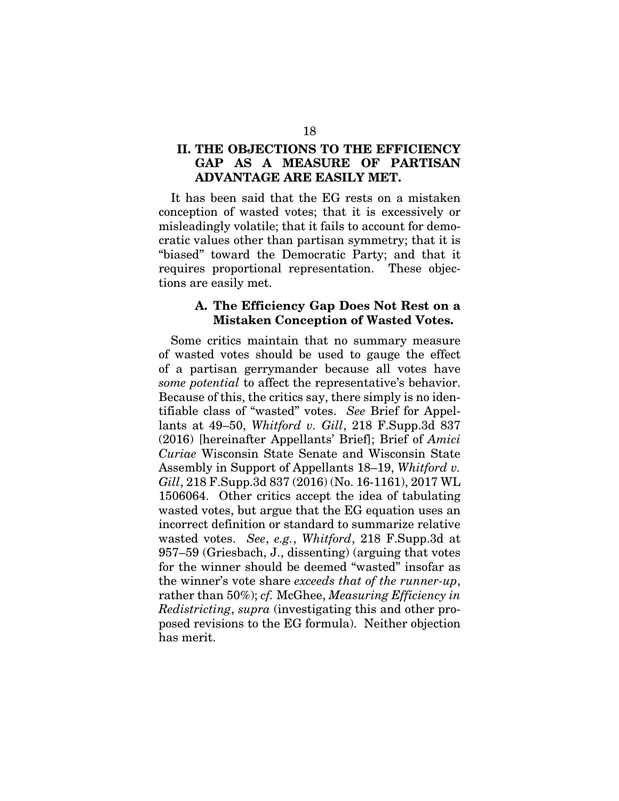## II. THE OBJECTIONS TO THE EFFICIENCY GAP AS A MEASURE OF PARTISAN ADVANTAGE ARE EASILY MET.

It has been said that the EG rests on a mistaken conception of wasted votes; that it is excessively or misleadingly volatile; that it fails to account for democratic values other than partisan symmetry; that it is "biased" toward the Democratic Party; and that it requires proportional representation. These objections are easily met.

#### A. The Efficiency Gap Does Not Rest on a Mistaken Conception of Wasted Votes.

Some critics maintain that no summary measure of wasted votes should be used to gauge the effect of a partisan gerrymander because all votes have *some potential* to affect the representative's behavior. Because of this, the critics say, there simply is no identifiable class of "wasted" votes. *See* Brief for Appellants at 49–50, *Whitford v. Gill*, 218 F.Supp.3d 837 (2016) [hereinafter Appellants' Brief]; Brief of *Amici Curiae* Wisconsin State Senate and Wisconsin State Assembly in Support of Appellants 18–19, *Whitford v. Gill*, 218 F.Supp.3d 837 (2016) (No. 16-1161), 2017 WL 1506064. Other critics accept the idea of tabulating wasted votes, but argue that the EG equation uses an incorrect definition or standard to summarize relative wasted votes. *See*, *e.g.*, *Whitford*, 218 F.Supp.3d at 957–59 (Griesbach, J., dissenting) (arguing that votes for the winner should be deemed "wasted" insofar as the winner's vote share *exceeds that of the runner-up*, rather than 50%); *cf.* McGhee, *Measuring Efficiency in Redistricting*, *supra* (investigating this and other proposed revisions to the EG formula). Neither objection has merit.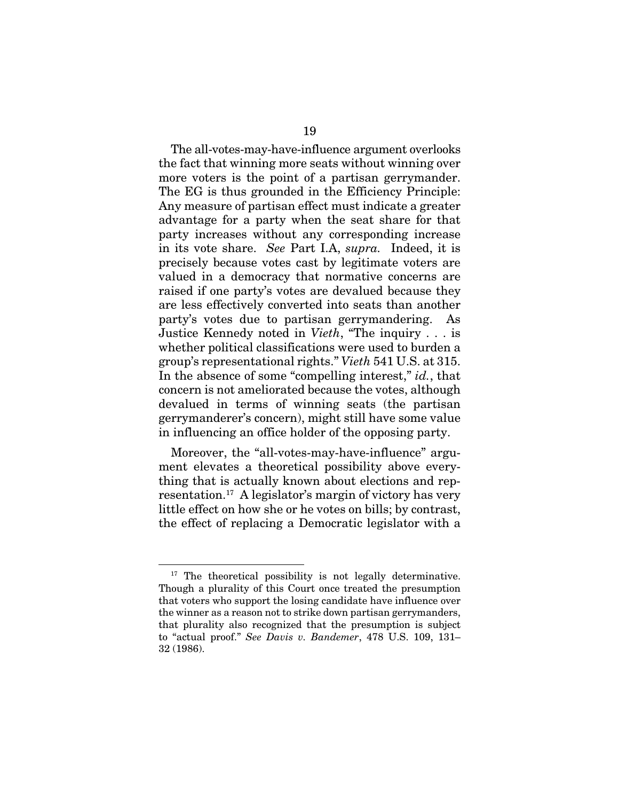The all-votes-may-have-influence argument overlooks the fact that winning more seats without winning over more voters is the point of a partisan gerrymander. The EG is thus grounded in the Efficiency Principle: Any measure of partisan effect must indicate a greater advantage for a party when the seat share for that party increases without any corresponding increase in its vote share. *See* Part I.A, *supra.* Indeed, it is precisely because votes cast by legitimate voters are valued in a democracy that normative concerns are raised if one party's votes are devalued because they are less effectively converted into seats than another party's votes due to partisan gerrymandering. As Justice Kennedy noted in *Vieth*, "The inquiry . . . is whether political classifications were used to burden a group's representational rights." *Vieth* 541 U.S. at 315. In the absence of some "compelling interest," *id.*, that concern is not ameliorated because the votes, although devalued in terms of winning seats (the partisan gerrymanderer's concern), might still have some value in influencing an office holder of the opposing party.

Moreover, the "all-votes-may-have-influence" argument elevates a theoretical possibility above everything that is actually known about elections and representation.17 A legislator's margin of victory has very little effect on how she or he votes on bills; by contrast, the effect of replacing a Democratic legislator with a

<sup>&</sup>lt;sup>17</sup> The theoretical possibility is not legally determinative. Though a plurality of this Court once treated the presumption that voters who support the losing candidate have influence over the winner as a reason not to strike down partisan gerrymanders, that plurality also recognized that the presumption is subject to "actual proof." *See Davis v. Bandemer*, 478 U.S. 109, 131– 32 (1986).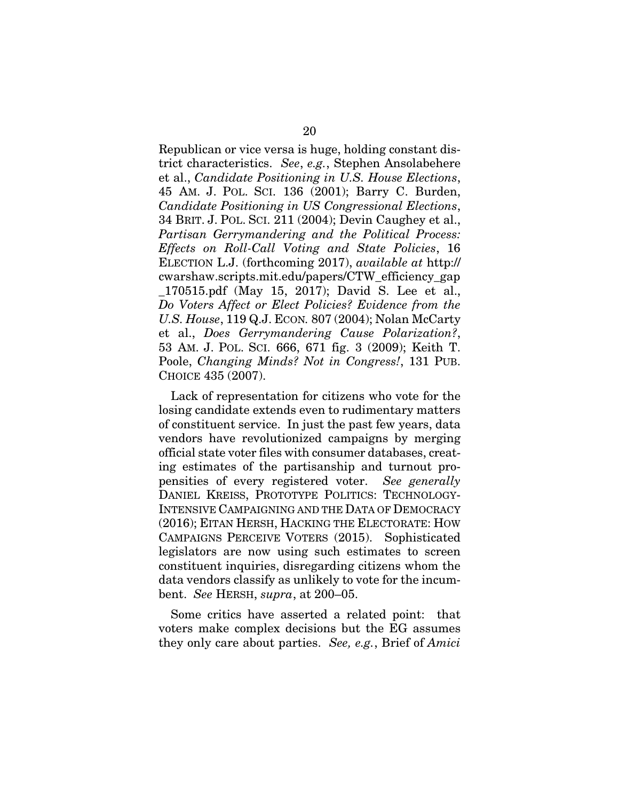Republican or vice versa is huge, holding constant district characteristics. *See*, *e.g.*, Stephen Ansolabehere et al., *Candidate Positioning in U.S. House Elections*, 45 AM. J. POL. SCI. 136 (2001); Barry C. Burden, *Candidate Positioning in US Congressional Elections*, 34 BRIT. J. POL. SCI. 211 (2004); Devin Caughey et al., *Partisan Gerrymandering and the Political Process: Effects on Roll-Call Voting and State Policies*, 16 ELECTION L.J. (forthcoming 2017), *available at* http:// cwarshaw.scripts.mit.edu/papers/CTW\_efficiency\_gap \_170515.pdf (May 15, 2017); David S. Lee et al., *Do Voters Affect or Elect Policies? Evidence from the U.S. House*, 119 Q.J. ECON*.* 807 (2004); Nolan McCarty et al., *Does Gerrymandering Cause Polarization?*, 53 AM. J. POL. SCI. 666, 671 fig. 3 (2009); Keith T. Poole, *Changing Minds? Not in Congress!*, 131 PUB. CHOICE 435 (2007).

Lack of representation for citizens who vote for the losing candidate extends even to rudimentary matters of constituent service. In just the past few years, data vendors have revolutionized campaigns by merging official state voter files with consumer databases, creating estimates of the partisanship and turnout propensities of every registered voter. *See generally*  DANIEL KREISS, PROTOTYPE POLITICS: TECHNOLOGY-INTENSIVE CAMPAIGNING AND THE DATA OF DEMOCRACY (2016); EITAN HERSH, HACKING THE ELECTORATE: HOW CAMPAIGNS PERCEIVE VOTERS (2015). Sophisticated legislators are now using such estimates to screen constituent inquiries, disregarding citizens whom the data vendors classify as unlikely to vote for the incumbent. *See* HERSH, *supra*, at 200–05.

Some critics have asserted a related point: that voters make complex decisions but the EG assumes they only care about parties. *See, e.g.*, Brief of *Amici*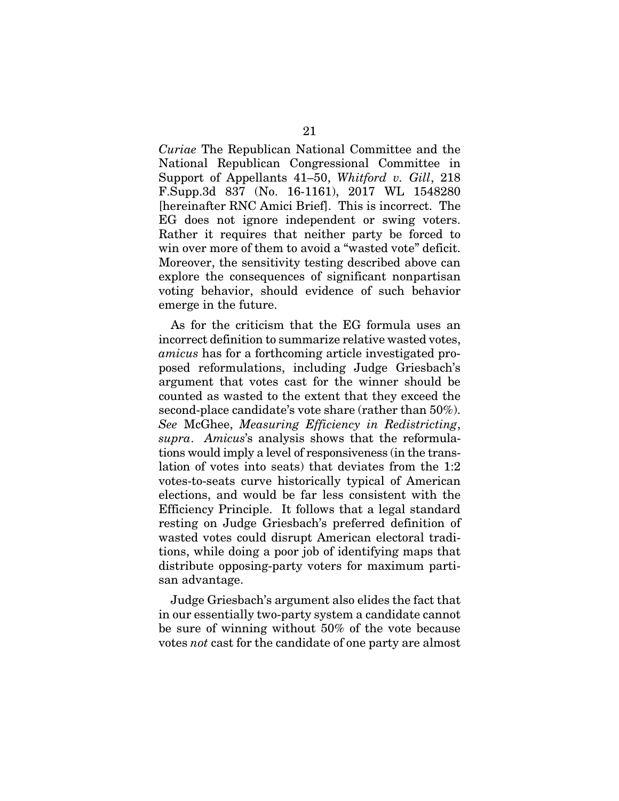*Curiae* The Republican National Committee and the National Republican Congressional Committee in Support of Appellants 41–50, *Whitford v. Gill*, 218 F.Supp.3d 837 (No. 16-1161), 2017 WL 1548280 [hereinafter RNC Amici Brief]. This is incorrect. The EG does not ignore independent or swing voters. Rather it requires that neither party be forced to win over more of them to avoid a "wasted vote" deficit. Moreover, the sensitivity testing described above can explore the consequences of significant nonpartisan voting behavior, should evidence of such behavior emerge in the future.

As for the criticism that the EG formula uses an incorrect definition to summarize relative wasted votes, *amicus* has for a forthcoming article investigated proposed reformulations, including Judge Griesbach's argument that votes cast for the winner should be counted as wasted to the extent that they exceed the second-place candidate's vote share (rather than 50%). *See* McGhee, *Measuring Efficiency in Redistricting*, *supra*. *Amicus*'s analysis shows that the reformulations would imply a level of responsiveness (in the translation of votes into seats) that deviates from the 1:2 votes-to-seats curve historically typical of American elections, and would be far less consistent with the Efficiency Principle. It follows that a legal standard resting on Judge Griesbach's preferred definition of wasted votes could disrupt American electoral traditions, while doing a poor job of identifying maps that distribute opposing-party voters for maximum partisan advantage.

Judge Griesbach's argument also elides the fact that in our essentially two-party system a candidate cannot be sure of winning without 50% of the vote because votes *not* cast for the candidate of one party are almost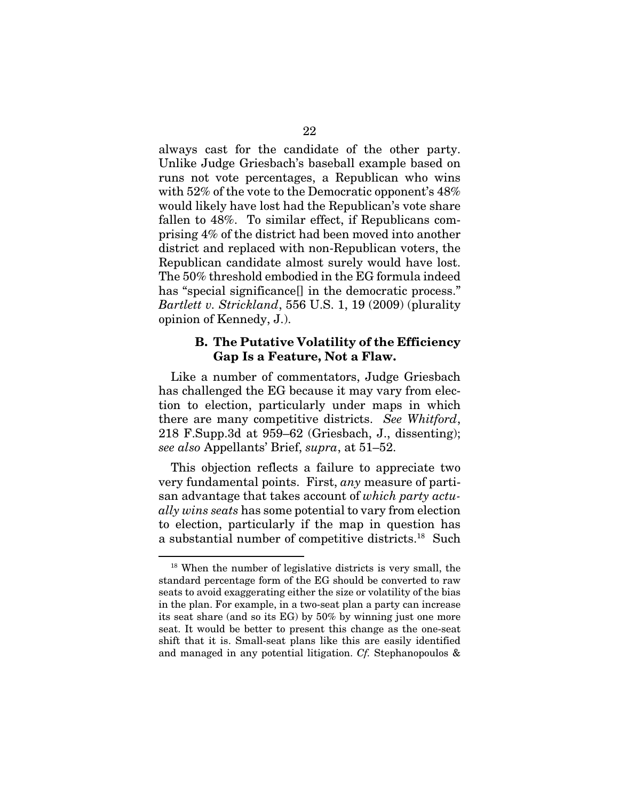always cast for the candidate of the other party. Unlike Judge Griesbach's baseball example based on runs not vote percentages, a Republican who wins with 52% of the vote to the Democratic opponent's 48% would likely have lost had the Republican's vote share fallen to 48%. To similar effect, if Republicans comprising 4% of the district had been moved into another district and replaced with non-Republican voters, the Republican candidate almost surely would have lost. The 50% threshold embodied in the EG formula indeed has "special significance<sup>[]</sup> in the democratic process." *Bartlett v. Strickland*, 556 U.S. 1, 19 (2009) (plurality opinion of Kennedy, J.).

#### B. The Putative Volatility of the Efficiency Gap Is a Feature, Not a Flaw.

Like a number of commentators, Judge Griesbach has challenged the EG because it may vary from election to election, particularly under maps in which there are many competitive districts. *See Whitford*, 218 F.Supp.3d at 959–62 (Griesbach, J., dissenting); *see also* Appellants' Brief, *supra*, at 51–52.

This objection reflects a failure to appreciate two very fundamental points. First, *any* measure of partisan advantage that takes account of *which party actually wins seats* has some potential to vary from election to election, particularly if the map in question has a substantial number of competitive districts.18 Such

<sup>18</sup> When the number of legislative districts is very small, the standard percentage form of the EG should be converted to raw seats to avoid exaggerating either the size or volatility of the bias in the plan. For example, in a two-seat plan a party can increase its seat share (and so its EG) by 50% by winning just one more seat. It would be better to present this change as the one-seat shift that it is. Small-seat plans like this are easily identified and managed in any potential litigation. *Cf.* Stephanopoulos &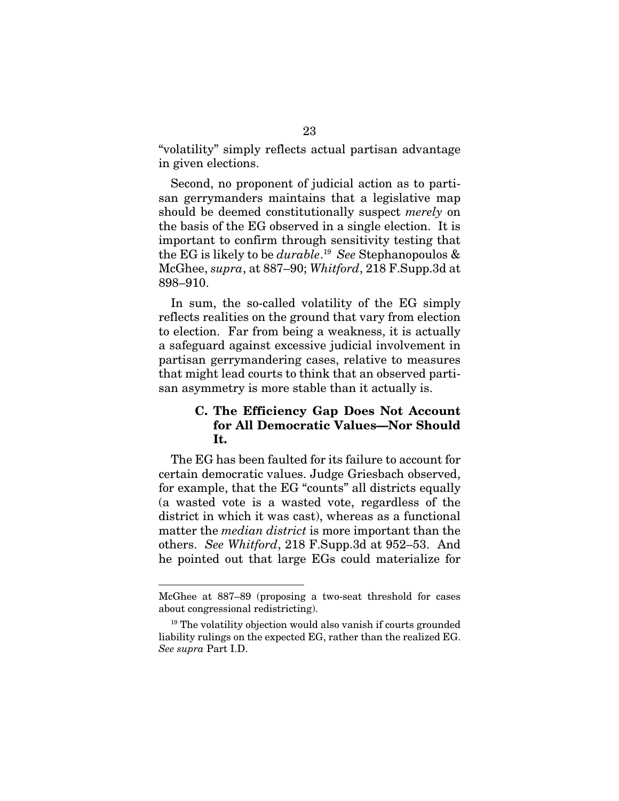"volatility" simply reflects actual partisan advantage in given elections.

Second, no proponent of judicial action as to partisan gerrymanders maintains that a legislative map should be deemed constitutionally suspect *merely* on the basis of the EG observed in a single election. It is important to confirm through sensitivity testing that the EG is likely to be *durable*. 19 *See* Stephanopoulos & McGhee, *supra*, at 887–90; *Whitford*, 218 F.Supp.3d at 898–910.

In sum, the so-called volatility of the EG simply reflects realities on the ground that vary from election to election. Far from being a weakness, it is actually a safeguard against excessive judicial involvement in partisan gerrymandering cases, relative to measures that might lead courts to think that an observed partisan asymmetry is more stable than it actually is.

## C. The Efficiency Gap Does Not Account for All Democratic Values—Nor Should It.

The EG has been faulted for its failure to account for certain democratic values. Judge Griesbach observed, for example, that the EG "counts" all districts equally (a wasted vote is a wasted vote, regardless of the district in which it was cast), whereas as a functional matter the *median district* is more important than the others. *See Whitford*, 218 F.Supp.3d at 952–53. And he pointed out that large EGs could materialize for

McGhee at 887–89 (proposing a two-seat threshold for cases about congressional redistricting).

<sup>&</sup>lt;sup>19</sup> The volatility objection would also vanish if courts grounded liability rulings on the expected EG, rather than the realized EG. *See supra* Part I.D.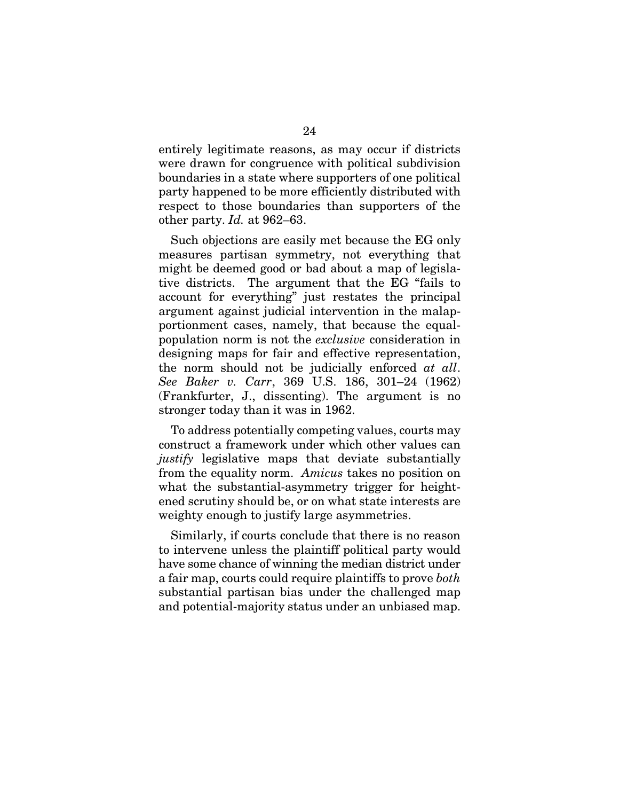entirely legitimate reasons, as may occur if districts were drawn for congruence with political subdivision boundaries in a state where supporters of one political party happened to be more efficiently distributed with respect to those boundaries than supporters of the other party. *Id.* at 962–63.

Such objections are easily met because the EG only measures partisan symmetry, not everything that might be deemed good or bad about a map of legislative districts. The argument that the EG "fails to account for everything" just restates the principal argument against judicial intervention in the malapportionment cases, namely, that because the equalpopulation norm is not the *exclusive* consideration in designing maps for fair and effective representation, the norm should not be judicially enforced *at all*. *See Baker v. Carr*, 369 U.S. 186, 301–24 (1962) (Frankfurter, J., dissenting). The argument is no stronger today than it was in 1962.

To address potentially competing values, courts may construct a framework under which other values can *justify* legislative maps that deviate substantially from the equality norm. *Amicus* takes no position on what the substantial-asymmetry trigger for heightened scrutiny should be, or on what state interests are weighty enough to justify large asymmetries.

Similarly, if courts conclude that there is no reason to intervene unless the plaintiff political party would have some chance of winning the median district under a fair map, courts could require plaintiffs to prove *both*  substantial partisan bias under the challenged map and potential-majority status under an unbiased map.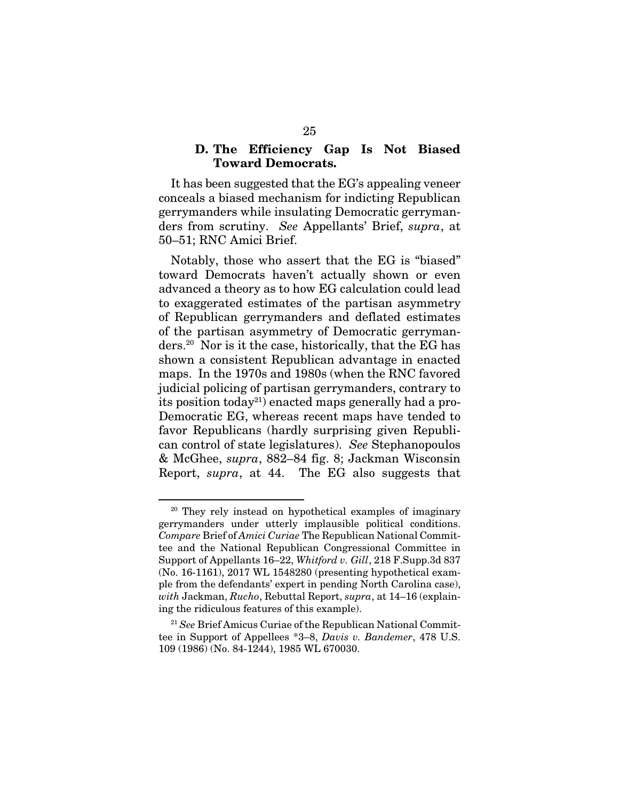#### D. The Efficiency Gap Is Not Biased Toward Democrats.

It has been suggested that the EG's appealing veneer conceals a biased mechanism for indicting Republican gerrymanders while insulating Democratic gerrymanders from scrutiny. *See* Appellants' Brief, *supra*, at 50–51; RNC Amici Brief.

Notably, those who assert that the EG is "biased" toward Democrats haven't actually shown or even advanced a theory as to how EG calculation could lead to exaggerated estimates of the partisan asymmetry of Republican gerrymanders and deflated estimates of the partisan asymmetry of Democratic gerrymanders.20 Nor is it the case, historically, that the EG has shown a consistent Republican advantage in enacted maps. In the 1970s and 1980s (when the RNC favored judicial policing of partisan gerrymanders, contrary to its position today<sup>21</sup>) enacted maps generally had a pro-Democratic EG, whereas recent maps have tended to favor Republicans (hardly surprising given Republican control of state legislatures). *See* Stephanopoulos & McGhee, *supra*, 882–84 fig. 8; Jackman Wisconsin Report, *supra*, at 44. The EG also suggests that

<sup>&</sup>lt;sup>20</sup> They rely instead on hypothetical examples of imaginary gerrymanders under utterly implausible political conditions. *Compare* Brief of *Amici Curiae* The Republican National Committee and the National Republican Congressional Committee in Support of Appellants 16–22, *Whitford v. Gill*, 218 F.Supp.3d 837 (No. 16-1161), 2017 WL 1548280 (presenting hypothetical example from the defendants' expert in pending North Carolina case), *with* Jackman, *Rucho*, Rebuttal Report, *supra*, at 14–16 (explaining the ridiculous features of this example).

<sup>21</sup> *See* Brief Amicus Curiae of the Republican National Committee in Support of Appellees \*3–8, *Davis v. Bandemer*, 478 U.S. 109 (1986) (No. 84-1244), 1985 WL 670030.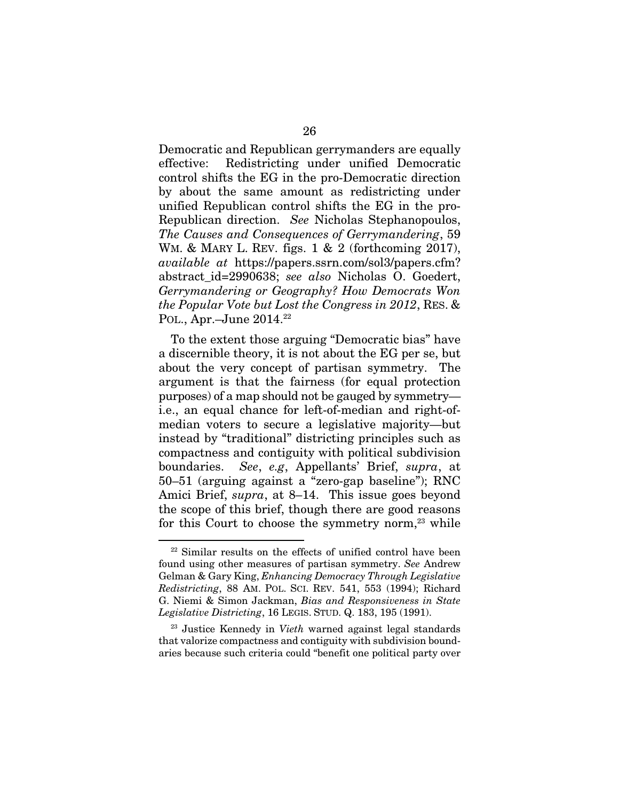Democratic and Republican gerrymanders are equally effective: Redistricting under unified Democratic control shifts the EG in the pro-Democratic direction by about the same amount as redistricting under unified Republican control shifts the EG in the pro-Republican direction. *See* Nicholas Stephanopoulos, *The Causes and Consequences of Gerrymandering*, 59 WM. & MARY L. REV. figs. 1 & 2 (forthcoming 2017), *available at* https://papers.ssrn.com/sol3/papers.cfm? abstract\_id=2990638; *see also* Nicholas O. Goedert, *Gerrymandering or Geography? How Democrats Won the Popular Vote but Lost the Congress in 2012*, RES. & POL., Apr.-June 2014.<sup>22</sup>

To the extent those arguing "Democratic bias" have a discernible theory, it is not about the EG per se, but about the very concept of partisan symmetry. The argument is that the fairness (for equal protection purposes) of a map should not be gauged by symmetry i.e., an equal chance for left-of-median and right-ofmedian voters to secure a legislative majority—but instead by "traditional" districting principles such as compactness and contiguity with political subdivision boundaries. *See*, *e.g*, Appellants' Brief, *supra*, at 50–51 (arguing against a "zero-gap baseline"); RNC Amici Brief, *supra*, at 8–14. This issue goes beyond the scope of this brief, though there are good reasons for this Court to choose the symmetry norm, $23$  while

<sup>&</sup>lt;sup>22</sup> Similar results on the effects of unified control have been found using other measures of partisan symmetry. *See* Andrew Gelman & Gary King, *Enhancing Democracy Through Legislative Redistricting*, 88 AM. POL. SCI. REV. 541, 553 (1994); Richard G. Niemi & Simon Jackman, *Bias and Responsiveness in State Legislative Districting*, 16 LEGIS. STUD. Q. 183, 195 (1991).

<sup>23</sup> Justice Kennedy in *Vieth* warned against legal standards that valorize compactness and contiguity with subdivision boundaries because such criteria could "benefit one political party over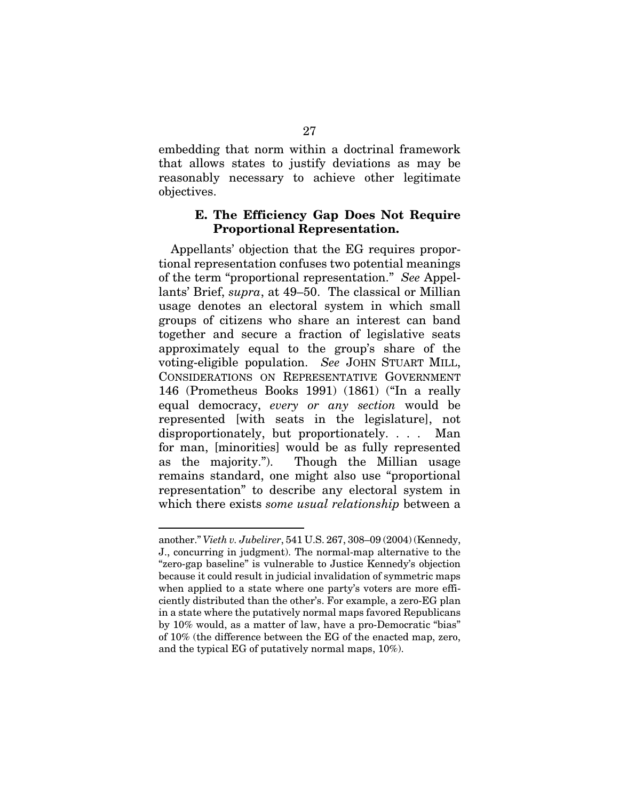embedding that norm within a doctrinal framework that allows states to justify deviations as may be reasonably necessary to achieve other legitimate objectives.

#### E. The Efficiency Gap Does Not Require Proportional Representation.

Appellants' objection that the EG requires proportional representation confuses two potential meanings of the term "proportional representation." *See* Appellants' Brief, *supra*, at 49–50. The classical or Millian usage denotes an electoral system in which small groups of citizens who share an interest can band together and secure a fraction of legislative seats approximately equal to the group's share of the voting-eligible population. *See* JOHN STUART MILL, CONSIDERATIONS ON REPRESENTATIVE GOVERNMENT 146 (Prometheus Books 1991) (1861) ("In a really equal democracy, *every or any section* would be represented [with seats in the legislature], not disproportionately, but proportionately. . . . Man for man, [minorities] would be as fully represented as the majority."). Though the Millian usage remains standard, one might also use "proportional representation" to describe any electoral system in which there exists *some usual relationship* between a

another." *Vieth v. Jubelirer*, 541 U.S. 267, 308–09 (2004) (Kennedy, J., concurring in judgment). The normal-map alternative to the "zero-gap baseline" is vulnerable to Justice Kennedy's objection because it could result in judicial invalidation of symmetric maps when applied to a state where one party's voters are more efficiently distributed than the other's. For example, a zero-EG plan in a state where the putatively normal maps favored Republicans by 10% would, as a matter of law, have a pro-Democratic "bias" of 10% (the difference between the EG of the enacted map, zero, and the typical EG of putatively normal maps, 10%).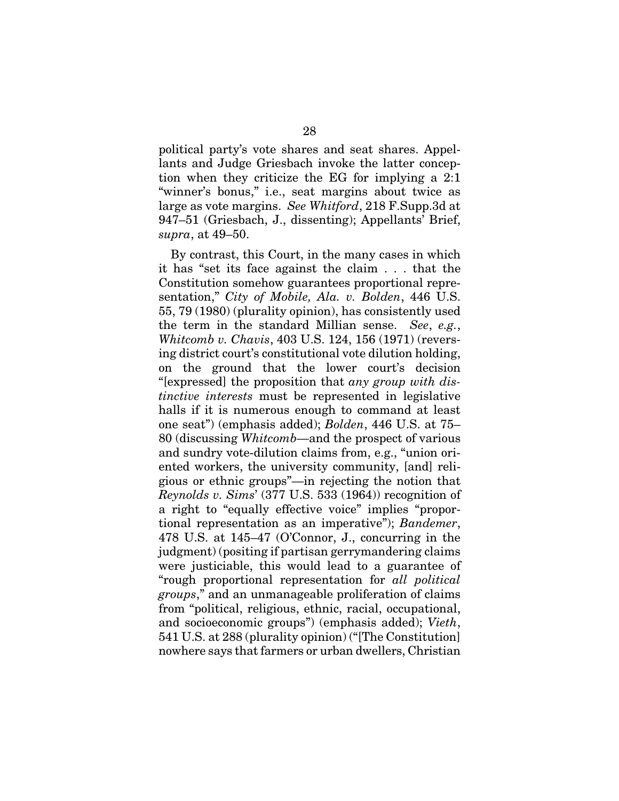political party's vote shares and seat shares. Appellants and Judge Griesbach invoke the latter conception when they criticize the EG for implying a 2:1 "winner's bonus," i.e., seat margins about twice as large as vote margins. *See Whitford*, 218 F.Supp.3d at 947–51 (Griesbach, J., dissenting); Appellants' Brief, *supra*, at 49–50.

By contrast, this Court, in the many cases in which it has "set its face against the claim . . . that the Constitution somehow guarantees proportional representation," *City of Mobile, Ala. v. Bolden*, 446 U.S. 55, 79 (1980) (plurality opinion), has consistently used the term in the standard Millian sense. *See*, *e.g.*, *Whitcomb v. Chavis*, 403 U.S. 124, 156 (1971) (reversing district court's constitutional vote dilution holding, on the ground that the lower court's decision "[expressed] the proposition that *any group with distinctive interests* must be represented in legislative halls if it is numerous enough to command at least one seat") (emphasis added); *Bolden*, 446 U.S. at 75– 80 (discussing *Whitcomb*—and the prospect of various and sundry vote-dilution claims from, e.g., "union oriented workers, the university community, [and] religious or ethnic groups"—in rejecting the notion that *Reynolds v. Sims*' (377 U.S. 533 (1964)) recognition of a right to "equally effective voice" implies "proportional representation as an imperative"); *Bandemer*, 478 U.S. at 145–47 (O'Connor, J., concurring in the judgment) (positing if partisan gerrymandering claims were justiciable, this would lead to a guarantee of "rough proportional representation for *all political groups*," and an unmanageable proliferation of claims from "political, religious, ethnic, racial, occupational, and socioeconomic groups") (emphasis added); *Vieth*, 541 U.S. at 288 (plurality opinion) ("[The Constitution] nowhere says that farmers or urban dwellers, Christian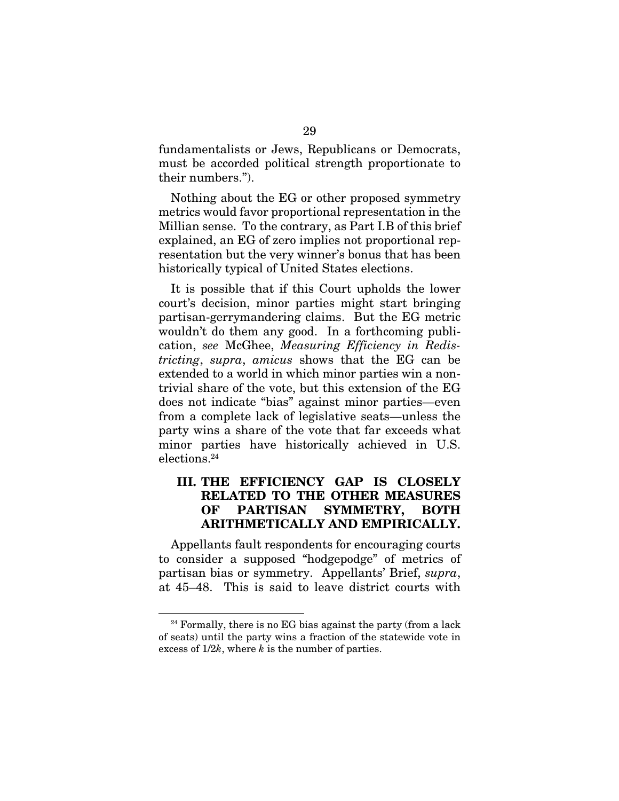fundamentalists or Jews, Republicans or Democrats, must be accorded political strength proportionate to their numbers.").

Nothing about the EG or other proposed symmetry metrics would favor proportional representation in the Millian sense. To the contrary, as Part I.B of this brief explained, an EG of zero implies not proportional representation but the very winner's bonus that has been historically typical of United States elections.

It is possible that if this Court upholds the lower court's decision, minor parties might start bringing partisan-gerrymandering claims. But the EG metric wouldn't do them any good. In a forthcoming publication, *see* McGhee, *Measuring Efficiency in Redistricting*, *supra*, *amicus* shows that the EG can be extended to a world in which minor parties win a nontrivial share of the vote, but this extension of the EG does not indicate "bias" against minor parties—even from a complete lack of legislative seats—unless the party wins a share of the vote that far exceeds what minor parties have historically achieved in U.S. elections.24

## III. THE EFFICIENCY GAP IS CLOSELY RELATED TO THE OTHER MEASURES OF PARTISAN SYMMETRY, BOTH ARITHMETICALLY AND EMPIRICALLY.

Appellants fault respondents for encouraging courts to consider a supposed "hodgepodge" of metrics of partisan bias or symmetry. Appellants' Brief, *supra*, at 45–48. This is said to leave district courts with

 $24$  Formally, there is no EG bias against the party (from a lack of seats) until the party wins a fraction of the statewide vote in excess of 1/2*k*, where *k* is the number of parties.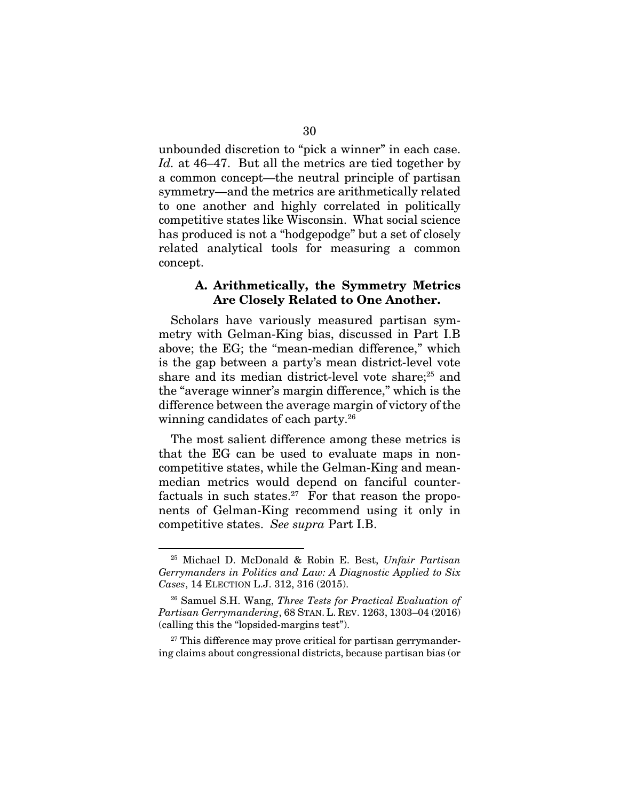unbounded discretion to "pick a winner" in each case. *Id.* at 46–47. But all the metrics are tied together by a common concept—the neutral principle of partisan symmetry—and the metrics are arithmetically related to one another and highly correlated in politically competitive states like Wisconsin. What social science has produced is not a "hodgepodge" but a set of closely related analytical tools for measuring a common concept.

#### A. Arithmetically, the Symmetry Metrics Are Closely Related to One Another.

Scholars have variously measured partisan symmetry with Gelman-King bias, discussed in Part I.B above; the EG; the "mean-median difference," which is the gap between a party's mean district-level vote share and its median district-level vote share;<sup>25</sup> and the "average winner's margin difference," which is the difference between the average margin of victory of the winning candidates of each party.26

The most salient difference among these metrics is that the EG can be used to evaluate maps in noncompetitive states, while the Gelman-King and meanmedian metrics would depend on fanciful counterfactuals in such states.<sup>27</sup> For that reason the proponents of Gelman-King recommend using it only in competitive states. *See supra* Part I.B.

<sup>25</sup> Michael D. McDonald & Robin E. Best, *Unfair Partisan Gerrymanders in Politics and Law: A Diagnostic Applied to Six Cases*, 14 ELECTION L.J. 312, 316 (2015).

<sup>26</sup> Samuel S.H. Wang, *Three Tests for Practical Evaluation of Partisan Gerrymandering*, 68 STAN. L. REV. 1263, 1303–04 (2016) (calling this the "lopsided-margins test").

 $27$  This difference may prove critical for partisan gerrymandering claims about congressional districts, because partisan bias (or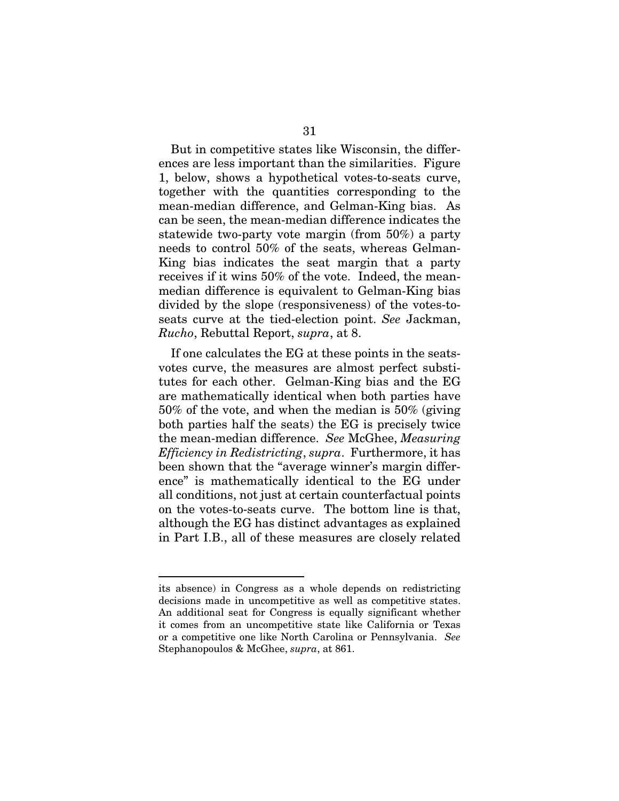But in competitive states like Wisconsin, the differences are less important than the similarities. Figure 1, below, shows a hypothetical votes-to-seats curve, together with the quantities corresponding to the mean-median difference, and Gelman-King bias. As can be seen, the mean-median difference indicates the statewide two-party vote margin (from 50%) a party needs to control 50% of the seats, whereas Gelman-King bias indicates the seat margin that a party receives if it wins 50% of the vote. Indeed, the meanmedian difference is equivalent to Gelman-King bias divided by the slope (responsiveness) of the votes-toseats curve at the tied-election point. *See* Jackman, *Rucho*, Rebuttal Report, *supra*, at 8.

If one calculates the EG at these points in the seatsvotes curve, the measures are almost perfect substitutes for each other. Gelman-King bias and the EG are mathematically identical when both parties have 50% of the vote, and when the median is 50% (giving both parties half the seats) the EG is precisely twice the mean-median difference. *See* McGhee, *Measuring Efficiency in Redistricting*, *supra*. Furthermore, it has been shown that the "average winner's margin difference" is mathematically identical to the EG under all conditions, not just at certain counterfactual points on the votes-to-seats curve. The bottom line is that, although the EG has distinct advantages as explained in Part I.B., all of these measures are closely related

its absence) in Congress as a whole depends on redistricting decisions made in uncompetitive as well as competitive states. An additional seat for Congress is equally significant whether it comes from an uncompetitive state like California or Texas or a competitive one like North Carolina or Pennsylvania. *See* Stephanopoulos & McGhee, *supra*, at 861.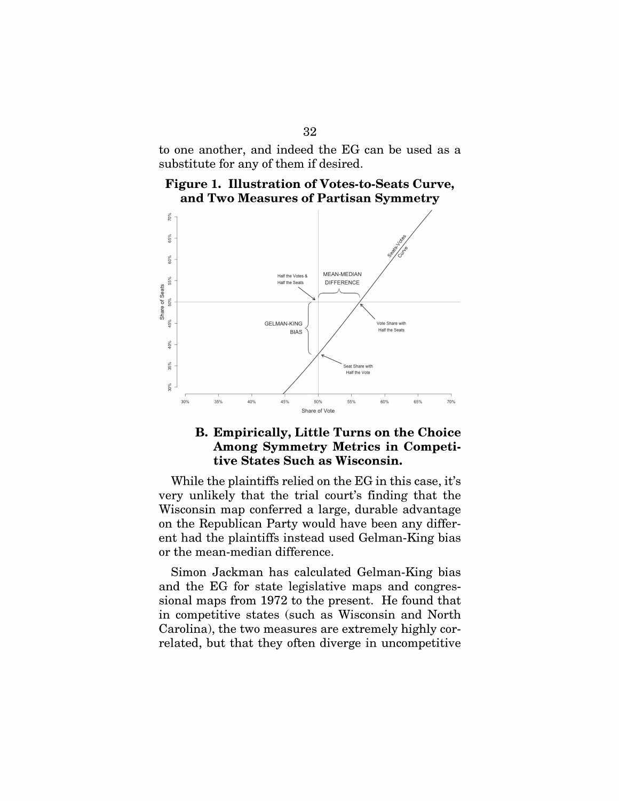to one another, and indeed the EG can be used as a substitute for any of them if desired.

Figure 1. Illustration of Votes-to-Seats Curve, and Two Measures of Partisan Symmetry



## **B. Empirically, Little Turns on the Choice Among Symmetry Metrics in Competi**tive States Such as Wisconsin.

While the plaintiffs relied on the EG in this case, it's very unlikely that the trial court's finding that the Wisconsin map conferred a large, durable advantage on the Republican Party would have been any different had the plaintiffs instead used Gelman-King bias or the mean-median difference.

Simon Jackman has calculated Gelman-King bias and the EG for state legislative maps and congressional maps from 1972 to the present. He found that in competitive states (such as Wisconsin and North Carolina), the two measures are extremely highly correlated, but that they often diverge in uncompetitive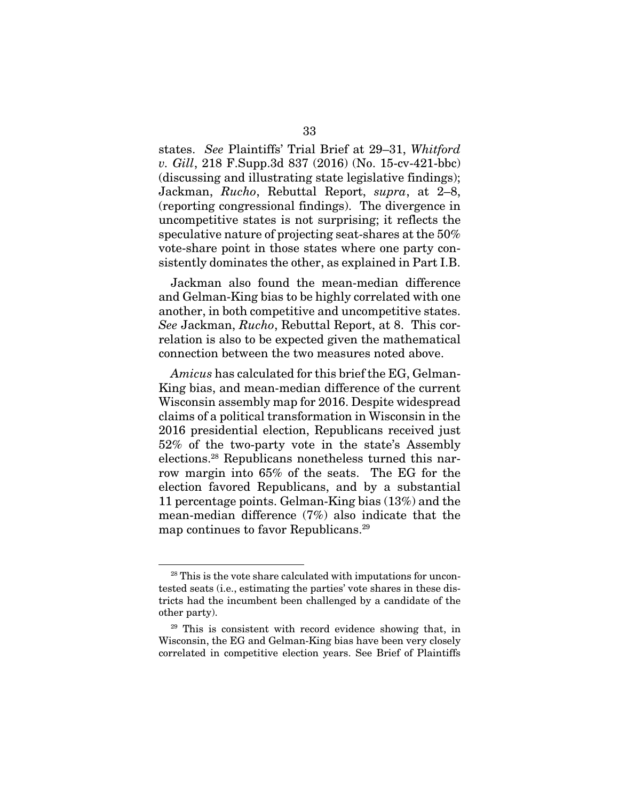states. *See* Plaintiffs' Trial Brief at 29–31, *Whitford v. Gill*, 218 F.Supp.3d 837 (2016) (No. 15-cv-421-bbc) (discussing and illustrating state legislative findings); Jackman, *Rucho*, Rebuttal Report, *supra*, at 2–8, (reporting congressional findings). The divergence in uncompetitive states is not surprising; it reflects the speculative nature of projecting seat-shares at the 50% vote-share point in those states where one party consistently dominates the other, as explained in Part I.B.

Jackman also found the mean-median difference and Gelman-King bias to be highly correlated with one another, in both competitive and uncompetitive states. *See* Jackman, *Rucho*, Rebuttal Report, at 8. This correlation is also to be expected given the mathematical connection between the two measures noted above.

*Amicus* has calculated for this brief the EG, Gelman-King bias, and mean-median difference of the current Wisconsin assembly map for 2016. Despite widespread claims of a political transformation in Wisconsin in the 2016 presidential election, Republicans received just 52% of the two-party vote in the state's Assembly elections.28 Republicans nonetheless turned this narrow margin into 65% of the seats. The EG for the election favored Republicans, and by a substantial 11 percentage points. Gelman-King bias (13%) and the mean-median difference (7%) also indicate that the map continues to favor Republicans.<sup>29</sup>

<sup>28</sup> This is the vote share calculated with imputations for uncontested seats (i.e., estimating the parties' vote shares in these districts had the incumbent been challenged by a candidate of the other party).

<sup>&</sup>lt;sup>29</sup> This is consistent with record evidence showing that, in Wisconsin, the EG and Gelman-King bias have been very closely correlated in competitive election years. See Brief of Plaintiffs